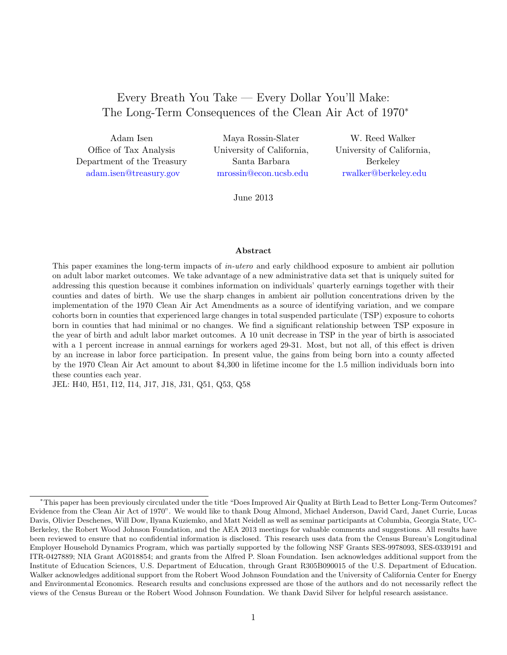# Every Breath You Take — Every Dollar You'll Make: The Long-Term Consequences of the Clean Air Act of 1970<sup>∗</sup>

Adam Isen Office of Tax Analysis Department of the Treasury [adam.isen@treasury.gov](mailto:adam.isen@treasury.gov)

Maya Rossin-Slater University of California, Santa Barbara [mrossin@econ.ucsb.edu](mailto:mrossin@econ.ucsb.edu)

W. Reed Walker University of California, Berkeley [rwalker@berkeley.edu](mailto:rwalker@berkeley.edu)

June 2013

#### Abstract

This paper examines the long-term impacts of in-utero and early childhood exposure to ambient air pollution on adult labor market outcomes. We take advantage of a new administrative data set that is uniquely suited for addressing this question because it combines information on individuals' quarterly earnings together with their counties and dates of birth. We use the sharp changes in ambient air pollution concentrations driven by the implementation of the 1970 Clean Air Act Amendments as a source of identifying variation, and we compare cohorts born in counties that experienced large changes in total suspended particulate (TSP) exposure to cohorts born in counties that had minimal or no changes. We find a significant relationship between TSP exposure in the year of birth and adult labor market outcomes. A 10 unit decrease in TSP in the year of birth is associated with a 1 percent increase in annual earnings for workers aged 29-31. Most, but not all, of this effect is driven by an increase in labor force participation. In present value, the gains from being born into a county affected by the 1970 Clean Air Act amount to about \$4,300 in lifetime income for the 1.5 million individuals born into these counties each year.

JEL: H40, H51, I12, I14, J17, J18, J31, Q51, Q53, Q58

<sup>∗</sup>This paper has been previously circulated under the title "Does Improved Air Quality at Birth Lead to Better Long-Term Outcomes? Evidence from the Clean Air Act of 1970". We would like to thank Doug Almond, Michael Anderson, David Card, Janet Currie, Lucas Davis, Olivier Deschenes, Will Dow, Ilyana Kuziemko, and Matt Neidell as well as seminar participants at Columbia, Georgia State, UC-Berkeley, the Robert Wood Johnson Foundation, and the AEA 2013 meetings for valuable comments and suggestions. All results have been reviewed to ensure that no confidential information is disclosed. This research uses data from the Census Bureau's Longitudinal Employer Household Dynamics Program, which was partially supported by the following NSF Grants SES-9978093, SES-0339191 and ITR-0427889; NIA Grant AG018854; and grants from the Alfred P. Sloan Foundation. Isen acknowledges additional support from the Institute of Education Sciences, U.S. Department of Education, through Grant R305B090015 of the U.S. Department of Education. Walker acknowledges additional support from the Robert Wood Johnson Foundation and the University of California Center for Energy and Environmental Economics. Research results and conclusions expressed are those of the authors and do not necessarily reflect the views of the Census Bureau or the Robert Wood Johnson Foundation. We thank David Silver for helpful research assistance.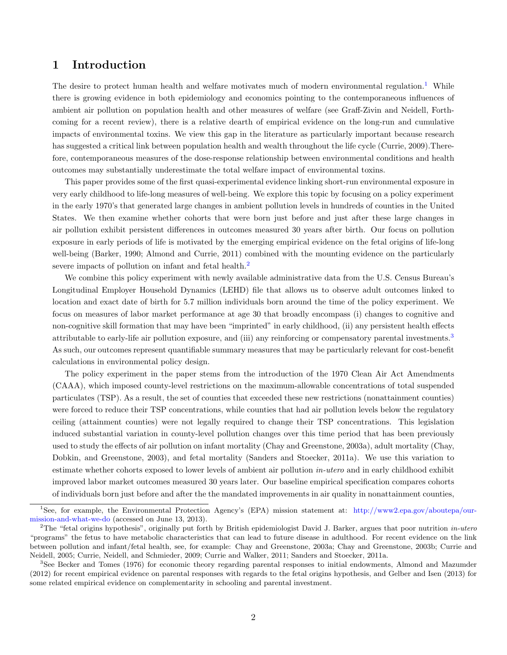## 1 Introduction

The desire to protect human health and welfare motivates much of modern environmental regulation.<sup>[1](#page-1-0)</sup> While there is growing evidence in both epidemiology and economics pointing to the contemporaneous influences of ambient air pollution on population health and other measures of welfare (see [Graff-Zivin and Neidell,](#page-20-0) [Forth](#page-20-0)[coming](#page-20-0) for a recent review), there is a relative dearth of empirical evidence on the long-run and cumulative impacts of environmental toxins. We view this gap in the literature as particularly important because research has suggested a critical link between population health and wealth throughout the life cycle [\(Currie,](#page-19-0) [2009\)](#page-19-0).Therefore, contemporaneous measures of the dose-response relationship between environmental conditions and health outcomes may substantially underestimate the total welfare impact of environmental toxins.

This paper provides some of the first quasi-experimental evidence linking short-run environmental exposure in very early childhood to life-long measures of well-being. We explore this topic by focusing on a policy experiment in the early 1970's that generated large changes in ambient pollution levels in hundreds of counties in the United States. We then examine whether cohorts that were born just before and just after these large changes in air pollution exhibit persistent differences in outcomes measured 30 years after birth. Our focus on pollution exposure in early periods of life is motivated by the emerging empirical evidence on the fetal origins of life-long well-being [\(Barker,](#page-19-1) [1990;](#page-19-1) [Almond and Currie,](#page-18-0) [2011\)](#page-18-0) combined with the mounting evidence on the particularly severe impacts of pollution on infant and fetal health.<sup>[2](#page-1-1)</sup>

We combine this policy experiment with newly available administrative data from the U.S. Census Bureau's Longitudinal Employer Household Dynamics (LEHD) file that allows us to observe adult outcomes linked to location and exact date of birth for 5.7 million individuals born around the time of the policy experiment. We focus on measures of labor market performance at age 30 that broadly encompass (i) changes to cognitive and non-cognitive skill formation that may have been "imprinted" in early childhood, (ii) any persistent health effects attributable to early-life air pollution exposure, and (iii) any reinforcing or compensatory parental investments.[3](#page-1-2) As such, our outcomes represent quantifiable summary measures that may be particularly relevant for cost-benefit calculations in environmental policy design.

The policy experiment in the paper stems from the introduction of the 1970 Clean Air Act Amendments (CAAA), which imposed county-level restrictions on the maximum-allowable concentrations of total suspended particulates (TSP). As a result, the set of counties that exceeded these new restrictions (nonattainment counties) were forced to reduce their TSP concentrations, while counties that had air pollution levels below the regulatory ceiling (attainment counties) were not legally required to change their TSP concentrations. This legislation induced substantial variation in county-level pollution changes over this time period that has been previously used to study the effects of air pollution on infant mortality [\(Chay and Greenstone,](#page-19-2) [2003a\)](#page-19-2), adult mortality [\(Chay,](#page-19-3) [Dobkin, and Greenstone,](#page-19-3) [2003\)](#page-19-3), and fetal mortality [\(Sanders and Stoecker,](#page-21-0) [2011a\)](#page-21-0). We use this variation to estimate whether cohorts exposed to lower levels of ambient air pollution in-utero and in early childhood exhibit improved labor market outcomes measured 30 years later. Our baseline empirical specification compares cohorts of individuals born just before and after the the mandated improvements in air quality in nonattainment counties,

<span id="page-1-0"></span><sup>&</sup>lt;sup>1</sup>See, for example, the Environmental Protection Agency's (EPA) mission statement at: [http://www2.epa.gov/aboutepa/our](http://www2.epa.gov/aboutepa/our-mission-and-what-we-do)[mission-and-what-we-do](http://www2.epa.gov/aboutepa/our-mission-and-what-we-do) (accessed on June 13, 2013).

<span id="page-1-1"></span><sup>&</sup>lt;sup>2</sup>The "fetal origins hypothesis", originally put forth by British epidemiologist David J. Barker, argues that poor nutrition in-utero "programs" the fetus to have metabolic characteristics that can lead to future disease in adulthood. For recent evidence on the link between pollution and infant/fetal health, see, for example: [Chay and Greenstone,](#page-19-2) [2003a;](#page-19-2) [Chay and Greenstone,](#page-19-4) [2003b;](#page-19-4) [Currie and](#page-19-5) [Neidell,](#page-19-5) [2005;](#page-19-5) [Currie, Neidell, and Schmieder,](#page-19-6) [2009;](#page-19-6) [Currie and Walker,](#page-19-7) [2011;](#page-19-7) [Sanders and Stoecker,](#page-21-0) [2011a.](#page-21-0)

<span id="page-1-2"></span><sup>&</sup>lt;sup>3</sup>See [Becker and Tomes](#page-19-8) [\(1976\)](#page-19-8) for economic theory regarding parental responses to initial endowments, [Almond and Mazumder](#page-18-1) [\(2012\)](#page-18-1) for recent empirical evidence on parental responses with regards to the fetal origins hypothesis, and [Gelber and Isen](#page-20-1) [\(2013\)](#page-20-1) for some related empirical evidence on complementarity in schooling and parental investment.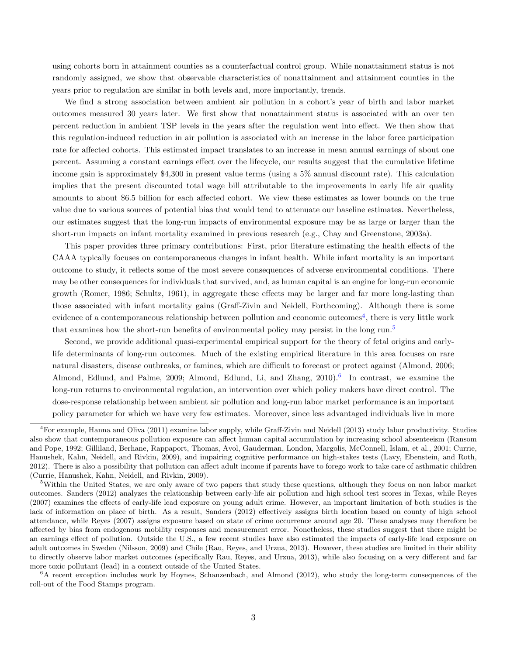using cohorts born in attainment counties as a counterfactual control group. While nonattainment status is not randomly assigned, we show that observable characteristics of nonattainment and attainment counties in the years prior to regulation are similar in both levels and, more importantly, trends.

We find a strong association between ambient air pollution in a cohort's year of birth and labor market outcomes measured 30 years later. We first show that nonattainment status is associated with an over ten percent reduction in ambient TSP levels in the years after the regulation went into effect. We then show that this regulation-induced reduction in air pollution is associated with an increase in the labor force participation rate for affected cohorts. This estimated impact translates to an increase in mean annual earnings of about one percent. Assuming a constant earnings effect over the lifecycle, our results suggest that the cumulative lifetime income gain is approximately \$4,300 in present value terms (using a 5% annual discount rate). This calculation implies that the present discounted total wage bill attributable to the improvements in early life air quality amounts to about \$6.5 billion for each affected cohort. We view these estimates as lower bounds on the true value due to various sources of potential bias that would tend to attenuate our baseline estimates. Nevertheless, our estimates suggest that the long-run impacts of environmental exposure may be as large or larger than the short-run impacts on infant mortality examined in previous research (e.g., [Chay and Greenstone,](#page-19-2) [2003a\)](#page-19-2).

This paper provides three primary contributions: First, prior literature estimating the health effects of the CAAA typically focuses on contemporaneous changes in infant health. While infant mortality is an important outcome to study, it reflects some of the most severe consequences of adverse environmental conditions. There may be other consequences for individuals that survived, and, as human capital is an engine for long-run economic growth [\(Romer,](#page-21-1) [1986;](#page-21-1) [Schultz,](#page-21-2) [1961\)](#page-21-2), in aggregate these effects may be larger and far more long-lasting than those associated with infant mortality gains [\(Graff-Zivin and Neidell,](#page-20-0) [Forthcoming\)](#page-20-0). Although there is some evidence of a contemporaneous relationship between pollution and economic outcomes<sup>[4](#page-2-0)</sup>, there is very little work that examines how the short-run benefits of environmental policy may persist in the long run.<sup>[5](#page-2-1)</sup>

Second, we provide additional quasi-experimental empirical support for the theory of fetal origins and earlylife determinants of long-run outcomes. Much of the existing empirical literature in this area focuses on rare natural disasters, disease outbreaks, or famines, which are difficult to forecast or protect against [\(Almond,](#page-18-2) [2006;](#page-18-2) [Almond, Edlund, and Palme,](#page-18-3) [2009;](#page-18-3) [Almond, Edlund, Li, and Zhang,](#page-18-4) [2010\)](#page-18-4).<sup>[6](#page-2-2)</sup> In contrast, we examine the long-run returns to environmental regulation, an intervention over which policy makers have direct control. The dose-response relationship between ambient air pollution and long-run labor market performance is an important policy parameter for which we have very few estimates. Moreover, since less advantaged individuals live in more

<span id="page-2-2"></span> ${}^{6}A$  recent exception includes work by [Hoynes, Schanzenbach, and Almond](#page-20-7) [\(2012\)](#page-20-7), who study the long-term consequences of the roll-out of the Food Stamps program.

<span id="page-2-0"></span><sup>4</sup>For example, [Hanna and Oliva](#page-20-2) [\(2011\)](#page-20-2) examine labor supply, while [Graff-Zivin and Neidell](#page-20-3) [\(2013\)](#page-20-3) study labor productivity. Studies also show that contemporaneous pollution exposure can affect human capital accumulation by increasing school absenteeism [\(Ransom](#page-21-3) [and Pope,](#page-21-3) [1992;](#page-21-3) [Gilliland, Berhane, Rappaport, Thomas, Avol, Gauderman, London, Margolis, McConnell, Islam, et al.,](#page-20-4) [2001;](#page-20-4) [Currie,](#page-19-9) [Hanushek, Kahn, Neidell, and Rivkin,](#page-19-9) [2009\)](#page-19-9), and impairing cognitive performance on high-stakes tests [\(Lavy, Ebenstein, and Roth,](#page-20-5) [2012\)](#page-20-5). There is also a possibility that pollution can affect adult income if parents have to forego work to take care of asthmatic children [\(Currie, Hanushek, Kahn, Neidell, and Rivkin,](#page-19-9) [2009\)](#page-19-9).

<span id="page-2-1"></span><sup>5</sup>Within the United States, we are only aware of two papers that study these questions, although they focus on non labor market outcomes. [Sanders](#page-21-4) [\(2012\)](#page-21-4) analyzes the relationship between early-life air pollution and high school test scores in Texas, while [Reyes](#page-21-5) [\(2007\)](#page-21-5) examines the effects of early-life lead exposure on young adult crime. However, an important limitation of both studies is the lack of information on place of birth. As a result, [Sanders](#page-21-4) [\(2012\)](#page-21-4) effectively assigns birth location based on county of high school attendance, while [Reyes](#page-21-5) [\(2007\)](#page-21-5) assigns exposure based on state of crime occurrence around age 20. These analyses may therefore be affected by bias from endogenous mobility responses and measurement error. Nonetheless, these studies suggest that there might be an earnings effect of pollution. Outside the U.S., a few recent studies have also estimated the impacts of early-life lead exposure on adult outcomes in Sweden [\(Nilsson,](#page-20-6) [2009\)](#page-20-6) and Chile [\(Rau, Reyes, and Urzua,](#page-21-6) [2013\)](#page-21-6). However, these studies are limited in their ability to directly observe labor market outcomes (specifically [Rau, Reyes, and Urzua,](#page-21-6) [2013\)](#page-21-6), while also focusing on a very different and far more toxic pollutant (lead) in a context outside of the United States.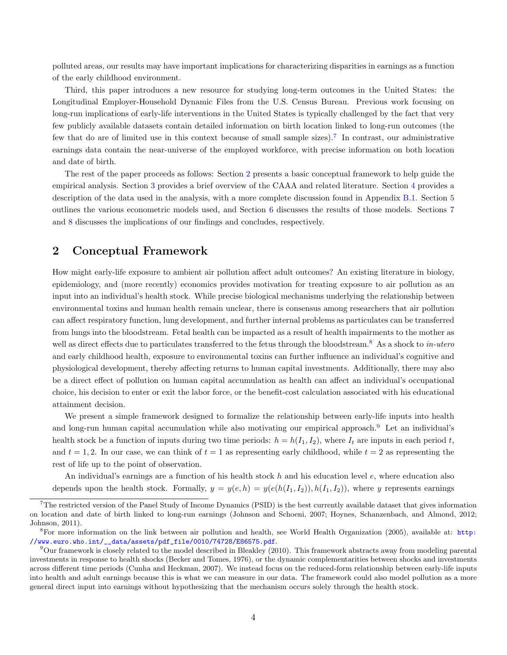polluted areas, our results may have important implications for characterizing disparities in earnings as a function of the early childhood environment.

Third, this paper introduces a new resource for studying long-term outcomes in the United States: the Longitudinal Employer-Household Dynamic Files from the U.S. Census Bureau. Previous work focusing on long-run implications of early-life interventions in the United States is typically challenged by the fact that very few publicly available datasets contain detailed information on birth location linked to long-run outcomes (the few that do are of limited use in this context because of small sample sizes).[7](#page-3-0) In contrast, our administrative earnings data contain the near-universe of the employed workforce, with precise information on both location and date of birth.

The rest of the paper proceeds as follows: Section [2](#page-3-1) presents a basic conceptual framework to help guide the empirical analysis. Section [3](#page-4-0) provides a brief overview of the CAAA and related literature. Section [4](#page-5-0) provides a description of the data used in the analysis, with a more complete discussion found in Appendix [B.1.](#page-43-0) Section [5](#page-7-0) outlines the various econometric models used, and Section [6](#page-10-0) discusses the results of those models. Sections [7](#page-15-0) and [8](#page-17-0) discusses the implications of our findings and concludes, respectively.

## <span id="page-3-1"></span>2 Conceptual Framework

How might early-life exposure to ambient air pollution affect adult outcomes? An existing literature in biology, epidemiology, and (more recently) economics provides motivation for treating exposure to air pollution as an input into an individual's health stock. While precise biological mechanisms underlying the relationship between environmental toxins and human health remain unclear, there is consensus among researchers that air pollution can affect respiratory function, lung development, and further internal problems as particulates can be transferred from lungs into the bloodstream. Fetal health can be impacted as a result of health impairments to the mother as well as direct effects due to particulates transferred to the fetus through the bloodstream.<sup>[8](#page-3-2)</sup> As a shock to *in-utero* and early childhood health, exposure to environmental toxins can further influence an individual's cognitive and physiological development, thereby affecting returns to human capital investments. Additionally, there may also be a direct effect of pollution on human capital accumulation as health can affect an individual's occupational choice, his decision to enter or exit the labor force, or the benefit-cost calculation associated with his educational attainment decision.

We present a simple framework designed to formalize the relationship between early-life inputs into health and long-run human capital accumulation while also motivating our empirical approach.<sup>[9](#page-3-3)</sup> Let an individual's health stock be a function of inputs during two time periods:  $h = h(I_1, I_2)$ , where  $I_t$  are inputs in each period t, and  $t = 1, 2$ . In our case, we can think of  $t = 1$  as representing early childhood, while  $t = 2$  as representing the rest of life up to the point of observation.

An individual's earnings are a function of his health stock h and his education level e, where education also depends upon the health stock. Formally,  $y = y(e, h) = y(e(h(I_1, I_2)), h(I_1, I_2))$ , where y represents earnings

<span id="page-3-0"></span> $^7$ The restricted version of the Panel Study of Income Dynamics (PSID) is the best currently available dataset that gives information on location and date of birth linked to long-run earnings [\(Johnson and Schoeni,](#page-20-8) [2007;](#page-20-8) [Hoynes, Schanzenbach, and Almond,](#page-20-7) [2012;](#page-20-7) [Johnson,](#page-20-9) [2011\)](#page-20-9).

<span id="page-3-2"></span> ${}^{8}$ For more information on the link between air pollution and health, see [World Health Organization](#page-22-0) [\(2005\)](#page-22-0), available at: [http:](http://www.euro.who.int/__data/assets/pdf_file/0010/74728/E86575.pdf) [//www.euro.who.int/\\_\\_data/assets/pdf\\_file/0010/74728/E86575.pdf](http://www.euro.who.int/__data/assets/pdf_file/0010/74728/E86575.pdf).

<span id="page-3-3"></span> $9$ Our framework is closely related to the model described in [Bleakley](#page-19-10) [\(2010\)](#page-19-10). This framework abstracts away from modeling parental investments in response to health shocks [\(Becker and Tomes,](#page-19-8) [1976\)](#page-19-8), or the dynamic complementarities between shocks and investments across different time periods [\(Cunha and Heckman,](#page-19-11) [2007\)](#page-19-11). We instead focus on the reduced-form relationship between early-life inputs into health and adult earnings because this is what we can measure in our data. The framework could also model pollution as a more general direct input into earnings without hypothesizing that the mechanism occurs solely through the health stock.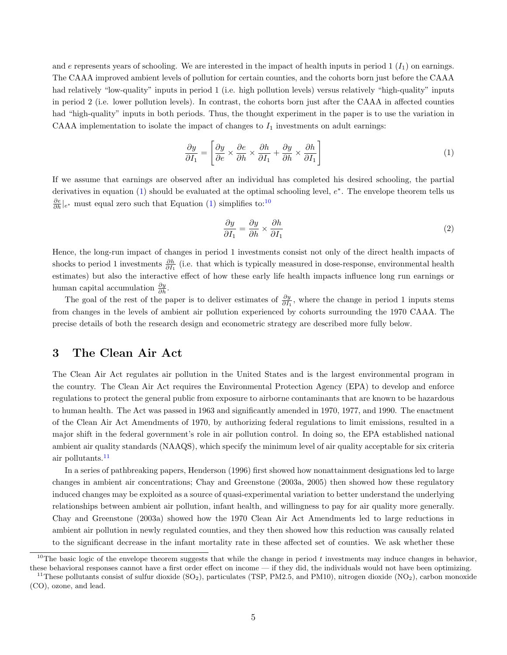and e represents years of schooling. We are interested in the impact of health inputs in period  $1$  ( $I_1$ ) on earnings. The CAAA improved ambient levels of pollution for certain counties, and the cohorts born just before the CAAA had relatively "low-quality" inputs in period 1 (i.e. high pollution levels) versus relatively "high-quality" inputs in period 2 (i.e. lower pollution levels). In contrast, the cohorts born just after the CAAA in affected counties had "high-quality" inputs in both periods. Thus, the thought experiment in the paper is to use the variation in CAAA implementation to isolate the impact of changes to  $I_1$  investments on adult earnings:

<span id="page-4-1"></span>
$$
\frac{\partial y}{\partial I_1} = \left[ \frac{\partial y}{\partial e} \times \frac{\partial e}{\partial h} \times \frac{\partial h}{\partial I_1} + \frac{\partial y}{\partial h} \times \frac{\partial h}{\partial I_1} \right] \tag{1}
$$

If we assume that earnings are observed after an individual has completed his desired schooling, the partial derivatives in equation  $(1)$  should be evaluated at the optimal schooling level,  $e^*$ . The envelope theorem tells us  $\frac{\partial e}{\partial h}|_{e^*}$  must equal zero such that Equation [\(1\)](#page-4-1) simplifies to:<sup>[10](#page-4-2)</sup>

$$
\frac{\partial y}{\partial I_1} = \frac{\partial y}{\partial h} \times \frac{\partial h}{\partial I_1}
$$
 (2)

Hence, the long-run impact of changes in period 1 investments consist not only of the direct health impacts of shocks to period 1 investments  $\frac{\partial h}{\partial I_1}$  (i.e. that which is typically measured in dose-response, environmental health estimates) but also the interactive effect of how these early life health impacts influence long run earnings or human capital accumulation  $\frac{\partial y}{\partial h}$ .

The goal of the rest of the paper is to deliver estimates of  $\frac{\partial y}{\partial I_1}$ , where the change in period 1 inputs stems from changes in the levels of ambient air pollution experienced by cohorts surrounding the 1970 CAAA. The precise details of both the research design and econometric strategy are described more fully below.

### <span id="page-4-0"></span>3 The Clean Air Act

The Clean Air Act regulates air pollution in the United States and is the largest environmental program in the country. The Clean Air Act requires the Environmental Protection Agency (EPA) to develop and enforce regulations to protect the general public from exposure to airborne contaminants that are known to be hazardous to human health. The Act was passed in 1963 and significantly amended in 1970, 1977, and 1990. The enactment of the Clean Air Act Amendments of 1970, by authorizing federal regulations to limit emissions, resulted in a major shift in the federal government's role in air pollution control. In doing so, the EPA established national ambient air quality standards (NAAQS), which specify the minimum level of air quality acceptable for six criteria air pollutants.<sup>[11](#page-4-3)</sup>

In a series of pathbreaking papers, [Henderson](#page-20-10) [\(1996\)](#page-20-10) first showed how nonattainment designations led to large changes in ambient air concentrations; [Chay and Greenstone](#page-19-2) [\(2003a,](#page-19-2) [2005\)](#page-19-12) then showed how these regulatory induced changes may be exploited as a source of quasi-experimental variation to better understand the underlying relationships between ambient air pollution, infant health, and willingness to pay for air quality more generally. [Chay and Greenstone](#page-19-2) [\(2003a\)](#page-19-2) showed how the 1970 Clean Air Act Amendments led to large reductions in ambient air pollution in newly regulated counties, and they then showed how this reduction was causally related to the significant decrease in the infant mortality rate in these affected set of counties. We ask whether these

<span id="page-4-2"></span><sup>&</sup>lt;sup>10</sup>The basic logic of the envelope theorem suggests that while the change in period t investments may induce changes in behavior, these behavioral responses cannot have a first order effect on income — if they did, the individuals would not have been optimizing.

<span id="page-4-3"></span><sup>&</sup>lt;sup>11</sup>These pollutants consist of sulfur dioxide  $(SO_2)$ , particulates (TSP, PM2.5, and PM10), nitrogen dioxide  $(NO_2)$ , carbon monoxide (CO), ozone, and lead.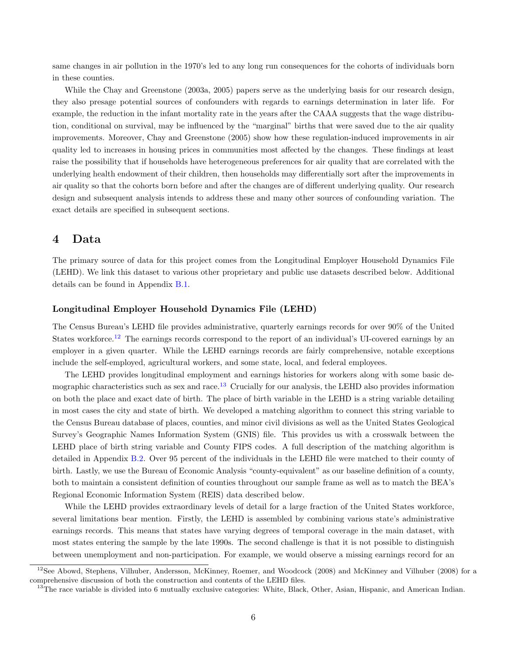same changes in air pollution in the 1970's led to any long run consequences for the cohorts of individuals born in these counties.

While the [Chay and Greenstone](#page-19-2) [\(2003a,](#page-19-2) [2005\)](#page-19-12) papers serve as the underlying basis for our research design, they also presage potential sources of confounders with regards to earnings determination in later life. For example, the reduction in the infant mortality rate in the years after the CAAA suggests that the wage distribution, conditional on survival, may be influenced by the "marginal" births that were saved due to the air quality improvements. Moreover, [Chay and Greenstone](#page-19-12) [\(2005\)](#page-19-12) show how these regulation-induced improvements in air quality led to increases in housing prices in communities most affected by the changes. These findings at least raise the possibility that if households have heterogeneous preferences for air quality that are correlated with the underlying health endowment of their children, then households may differentially sort after the improvements in air quality so that the cohorts born before and after the changes are of different underlying quality. Our research design and subsequent analysis intends to address these and many other sources of confounding variation. The exact details are specified in subsequent sections.

### <span id="page-5-0"></span>4 Data

The primary source of data for this project comes from the Longitudinal Employer Household Dynamics File (LEHD). We link this dataset to various other proprietary and public use datasets described below. Additional details can be found in Appendix [B.1.](#page-43-0)

### Longitudinal Employer Household Dynamics File (LEHD)

The Census Bureau's LEHD file provides administrative, quarterly earnings records for over 90% of the United States workforce.<sup>[12](#page-5-1)</sup> The earnings records correspond to the report of an individual's UI-covered earnings by an employer in a given quarter. While the LEHD earnings records are fairly comprehensive, notable exceptions include the self-employed, agricultural workers, and some state, local, and federal employees.

The LEHD provides longitudinal employment and earnings histories for workers along with some basic de-mographic characteristics such as sex and race.<sup>[13](#page-5-2)</sup> Crucially for our analysis, the LEHD also provides information on both the place and exact date of birth. The place of birth variable in the LEHD is a string variable detailing in most cases the city and state of birth. We developed a matching algorithm to connect this string variable to the Census Bureau database of places, counties, and minor civil divisions as well as the United States Geological Survey's Geographic Names Information System (GNIS) file. This provides us with a crosswalk between the LEHD place of birth string variable and County FIPS codes. A full description of the matching algorithm is detailed in Appendix [B.2.](#page-43-1) Over 95 percent of the individuals in the LEHD file were matched to their county of birth. Lastly, we use the Bureau of Economic Analysis "county-equivalent" as our baseline definition of a county, both to maintain a consistent definition of counties throughout our sample frame as well as to match the BEA's Regional Economic Information System (REIS) data described below.

While the LEHD provides extraordinary levels of detail for a large fraction of the United States workforce, several limitations bear mention. Firstly, the LEHD is assembled by combining various state's administrative earnings records. This means that states have varying degrees of temporal coverage in the main dataset, with most states entering the sample by the late 1990s. The second challenge is that it is not possible to distinguish between unemployment and non-participation. For example, we would observe a missing earnings record for an

<span id="page-5-1"></span> $12$ See [Abowd, Stephens, Vilhuber, Andersson, McKinney, Roemer, and Woodcock](#page-18-5) [\(2008\)](#page-20-11) and [McKinney and Vilhuber](#page-20-11) (2008) for a comprehensive discussion of both the construction and contents of the LEHD files.

<span id="page-5-2"></span><sup>&</sup>lt;sup>13</sup>The race variable is divided into 6 mutually exclusive categories: White, Black, Other, Asian, Hispanic, and American Indian.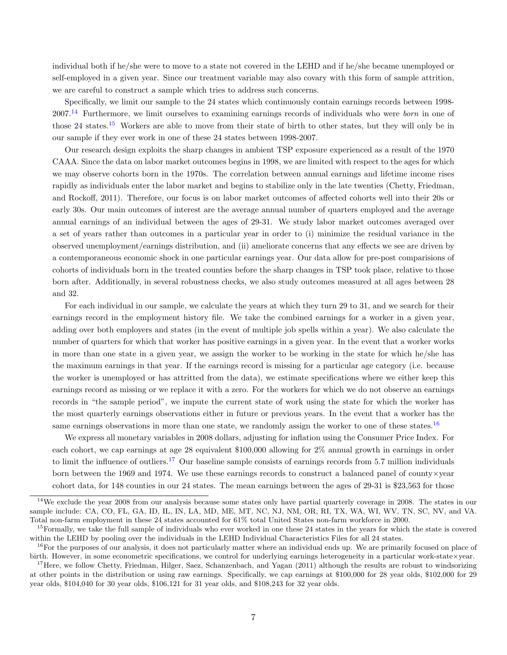individual both if he/she were to move to a state not covered in the LEHD and if he/she became unemployed or self-employed in a given year. Since our treatment variable may also covary with this form of sample attrition, we are careful to construct a sample which tries to address such concerns.

Specifically, we limit our sample to the 24 states which continuously contain earnings records between 1998-  $2007<sup>14</sup>$  $2007<sup>14</sup>$  $2007<sup>14</sup>$  Furthermore, we limit ourselves to examining earnings records of individuals who were *born* in one of those 24 states.[15](#page-6-1) Workers are able to move from their state of birth to other states, but they will only be in our sample if they ever work in one of these 24 states between 1998-2007.

Our research design exploits the sharp changes in ambient TSP exposure experienced as a result of the 1970 CAAA. Since the data on labor market outcomes begins in 1998, we are limited with respect to the ages for which we may observe cohorts born in the 1970s. The correlation between annual earnings and lifetime income rises rapidly as individuals enter the labor market and begins to stabilize only in the late twenties [\(Chetty, Friedman,](#page-19-13) [and Rockoff,](#page-19-13) [2011\)](#page-19-13). Therefore, our focus is on labor market outcomes of affected cohorts well into their 20s or early 30s. Our main outcomes of interest are the average annual number of quarters employed and the average annual earnings of an individual between the ages of 29-31. We study labor market outcomes averaged over a set of years rather than outcomes in a particular year in order to (i) minimize the residual variance in the observed unemployment/earnings distribution, and (ii) ameliorate concerns that any effects we see are driven by a contemporaneous economic shock in one particular earnings year. Our data allow for pre-post comparisions of cohorts of individuals born in the treated counties before the sharp changes in TSP took place, relative to those born after. Additionally, in several robustness checks, we also study outcomes measured at all ages between 28 and 32.

For each individual in our sample, we calculate the years at which they turn 29 to 31, and we search for their earnings record in the employment history file. We take the combined earnings for a worker in a given year, adding over both employers and states (in the event of multiple job spells within a year). We also calculate the number of quarters for which that worker has positive earnings in a given year. In the event that a worker works in more than one state in a given year, we assign the worker to be working in the state for which he/she has the maximum earnings in that year. If the earnings record is missing for a particular age category (i.e. because the worker is unemployed or has attritted from the data), we estimate specifications where we either keep this earnings record as missing or we replace it with a zero. For the workers for which we do not observe an earnings records in "the sample period", we impute the current state of work using the state for which the worker has the most quarterly earnings observations either in future or previous years. In the event that a worker has the same earnings observations in more than one state, we randomly assign the worker to one of these states.<sup>[16](#page-6-2)</sup>

We express all monetary variables in 2008 dollars, adjusting for inflation using the Consumer Price Index. For each cohort, we cap earnings at age 28 equivalent \$100,000 allowing for 2% annual growth in earnings in order to limit the influence of outliers.<sup>[17](#page-6-3)</sup> Our baseline sample consists of earnings records from 5.7 million individuals born between the 1969 and 1974. We use these earnings records to construct a balanced panel of county×year cohort data, for 148 counties in our 24 states. The mean earnings between the ages of 29-31 is \$23,563 for those

<span id="page-6-0"></span> $14$ We exclude the year 2008 from our analysis because some states only have partial quarterly coverage in 2008. The states in our sample include: CA, CO, FL, GA, ID, IL, IN, LA, MD, ME, MT, NC, NJ, NM, OR, RI, TX, WA, WI, WV, TN, SC, NV, and VA. Total non-farm employment in these 24 states accounted for 61% total United States non-farm workforce in 2000.

<span id="page-6-1"></span><sup>&</sup>lt;sup>15</sup>Formally, we take the full sample of individuals who ever worked in one these 24 states in the years for which the state is covered within the LEHD by pooling over the individuals in the LEHD Individual Characteristics Files for all 24 states.

<span id="page-6-2"></span><sup>&</sup>lt;sup>16</sup>For the purposes of our analysis, it does not particularly matter where an individual ends up. We are primarily focused on place of birth. However, in some econometric specifications, we control for underlying earnings heterogeneity in a particular work-state×year.

<span id="page-6-3"></span><sup>&</sup>lt;sup>17</sup>Here, we follow [Chetty, Friedman, Hilger, Saez, Schanzenbach, and Yagan](#page-19-14) [\(2011\)](#page-19-14) although the results are robust to windsorizing at other points in the distribution or using raw earnings. Specifically, we cap earnings at \$100,000 for 28 year olds, \$102,000 for 29 year olds, \$104,040 for 30 year olds, \$106,121 for 31 year olds, and \$108,243 for 32 year olds.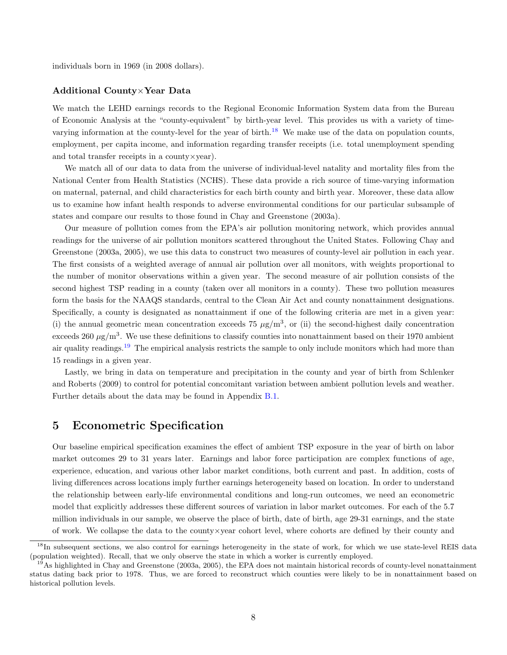individuals born in 1969 (in 2008 dollars).

#### Additional County×Year Data

We match the LEHD earnings records to the Regional Economic Information System data from the Bureau of Economic Analysis at the "county-equivalent" by birth-year level. This provides us with a variety of time-varying information at the county-level for the year of birth.<sup>[18](#page-7-1)</sup> We make use of the data on population counts, employment, per capita income, and information regarding transfer receipts (i.e. total unemployment spending and total transfer receipts in a county×year).

We match all of our data to data from the universe of individual-level natality and mortality files from the National Center from Health Statistics (NCHS). These data provide a rich source of time-varying information on maternal, paternal, and child characteristics for each birth county and birth year. Moreover, these data allow us to examine how infant health responds to adverse environmental conditions for our particular subsample of states and compare our results to those found in [Chay and Greenstone](#page-19-2) [\(2003a\)](#page-19-2).

Our measure of pollution comes from the EPA's air pollution monitoring network, which provides annual readings for the universe of air pollution monitors scattered throughout the United States. Following [Chay and](#page-19-2) [Greenstone](#page-19-2) [\(2003a,](#page-19-2) [2005\)](#page-19-12), we use this data to construct two measures of county-level air pollution in each year. The first consists of a weighted average of annual air pollution over all monitors, with weights proportional to the number of monitor observations within a given year. The second measure of air pollution consists of the second highest TSP reading in a county (taken over all monitors in a county). These two pollution measures form the basis for the NAAQS standards, central to the Clean Air Act and county nonattainment designations. Specifically, a county is designated as nonattainment if one of the following criteria are met in a given year: (i) the annual geometric mean concentration exceeds 75  $\mu$ g/m<sup>3</sup>, or (ii) the second-highest daily concentration exceeds 260  $\mu$ g/m<sup>3</sup>. We use these definitions to classify counties into nonattainment based on their 1970 ambient air quality readings.[19](#page-7-2) The empirical analysis restricts the sample to only include monitors which had more than 15 readings in a given year.

Lastly, we bring in data on temperature and precipitation in the county and year of birth from [Schlenker](#page-21-7) [and Roberts](#page-21-7) [\(2009\)](#page-21-7) to control for potential concomitant variation between ambient pollution levels and weather. Further details about the data may be found in Appendix [B.1.](#page-43-0)

### <span id="page-7-0"></span>5 Econometric Specification

Our baseline empirical specification examines the effect of ambient TSP exposure in the year of birth on labor market outcomes 29 to 31 years later. Earnings and labor force participation are complex functions of age, experience, education, and various other labor market conditions, both current and past. In addition, costs of living differences across locations imply further earnings heterogeneity based on location. In order to understand the relationship between early-life environmental conditions and long-run outcomes, we need an econometric model that explicitly addresses these different sources of variation in labor market outcomes. For each of the 5.7 million individuals in our sample, we observe the place of birth, date of birth, age 29-31 earnings, and the state of work. We collapse the data to the county×year cohort level, where cohorts are defined by their county and

<span id="page-7-1"></span><sup>&</sup>lt;sup>18</sup>In subsequent sections, we also control for earnings heterogeneity in the state of work, for which we use state-level REIS data (population weighted). Recall, that we only observe the state in which a worker is currently employed.

<span id="page-7-2"></span> $^{19}$ As highlighted in [Chay and Greenstone](#page-19-2) [\(2003a,](#page-19-2) [2005\)](#page-19-12), the EPA does not maintain historical records of county-level nonattainment status dating back prior to 1978. Thus, we are forced to reconstruct which counties were likely to be in nonattainment based on historical pollution levels.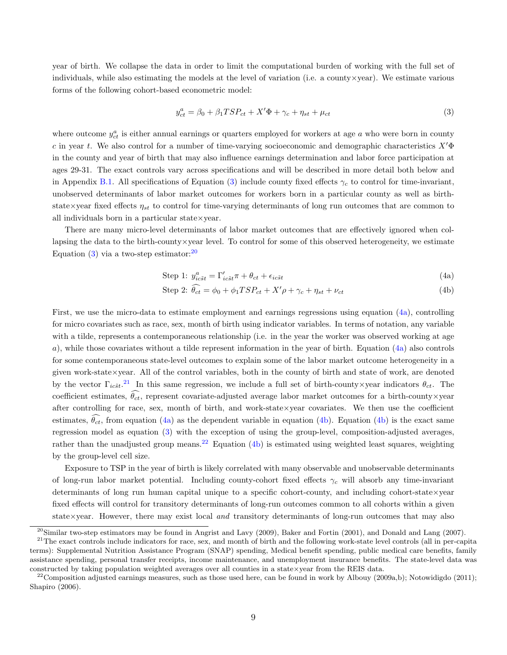year of birth. We collapse the data in order to limit the computational burden of working with the full set of individuals, while also estimating the models at the level of variation (i.e. a county  $\times$ year). We estimate various forms of the following cohort-based econometric model:

<span id="page-8-0"></span>
$$
y_{ct}^a = \beta_0 + \beta_1 TSP_{ct} + X'\Phi + \gamma_c + \eta_{st} + \mu_{ct}
$$
\n
$$
\tag{3}
$$

where outcome  $y_{ct}^a$  is either annual earnings or quarters employed for workers at age a who were born in county c in year t. We also control for a number of time-varying socioeconomic and demographic characteristics  $X^{\prime}\Phi$ in the county and year of birth that may also influence earnings determination and labor force participation at ages 29-31. The exact controls vary across specifications and will be described in more detail both below and in Appendix [B.1.](#page-43-0) All specifications of Equation [\(3\)](#page-8-0) include county fixed effects  $\gamma_c$  to control for time-invariant, unobserved determinants of labor market outcomes for workers born in a particular county as well as birthstate×year fixed effects  $\eta_{st}$  to control for time-varying determinants of long run outcomes that are common to all individuals born in a particular state×year.

There are many micro-level determinants of labor market outcomes that are effectively ignored when collapsing the data to the birth-county×year level. To control for some of this observed heterogeneity, we estimate Equation  $(3)$  via a two-step estimator:<sup>[20](#page-8-1)</sup>

<span id="page-8-2"></span>Step 1: 
$$
y_{ic\tilde{s}t}^a = \Gamma'_{ic\tilde{s}t}\pi + \theta_{ct} + \epsilon_{ic\tilde{s}t}
$$
 (4a)

<span id="page-8-4"></span>Step 2: 
$$
\widehat{\theta_{ct}} = \phi_0 + \phi_1 TSP_{ct} + X' \rho + \gamma_c + \eta_{st} + \nu_{ct}
$$
 (4b)

First, we use the micro-data to estimate employment and earnings regressions using equation [\(4a\)](#page-8-2), controlling for micro covariates such as race, sex, month of birth using indicator variables. In terms of notation, any variable with a tilde, represents a contemporaneous relationship (i.e. in the year the worker was observed working at age a), while those covariates without a tilde represent information in the year of birth. Equation [\(4a\)](#page-8-2) also controls for some contemporaneous state-level outcomes to explain some of the labor market outcome heterogeneity in a given work-state×year. All of the control variables, both in the county of birth and state of work, are denoted by the vector  $\Gamma_{icst}$ <sup>[21](#page-8-3)</sup>. In this same regression, we include a full set of birth-county×year indicators  $\theta_{ct}$ . The coefficient estimates,  $\widehat{\theta}_{ct}$ , represent covariate-adjusted average labor market outcomes for a birth-county×year after controlling for race, sex, month of birth, and work-state×year covariates. We then use the coefficient estimates,  $\hat{\theta}_{ct}$ , from equation [\(4a\)](#page-8-2) as the dependent variable in equation [\(4b\)](#page-8-4). Equation (4b) is the exact same regression model as equation [\(3\)](#page-8-0) with the exception of using the group-level, composition-adjusted averages, rather than the unadjusted group means.<sup>[22](#page-8-5)</sup> Equation [\(4b\)](#page-8-4) is estimated using weighted least squares, weighting by the group-level cell size.

Exposure to TSP in the year of birth is likely correlated with many observable and unobservable determinants of long-run labor market potential. Including county-cohort fixed effects  $\gamma_c$  will absorb any time-invariant determinants of long run human capital unique to a specific cohort-county, and including cohort-state×year fixed effects will control for transitory determinants of long-run outcomes common to all cohorts within a given state×year. However, there may exist local *and* transitory determinants of long-run outcomes that may also

<span id="page-8-3"></span><span id="page-8-1"></span> $^{20}$ Similar two-step estimators may be found in [Angrist and Lavy](#page-18-6) [\(2009\)](#page-18-6), [Baker and Fortin](#page-19-15) [\(2001\)](#page-19-15), and [Donald and Lang](#page-20-12) [\(2007\)](#page-20-12). <sup>21</sup>The exact controls include indicators for race, sex, and month of birth and the following work-state level controls (all in per-capita terms): Supplemental Nutrition Assistance Program (SNAP) spending, Medical benefit spending, public medical care benefits, family assistance spending, personal transfer receipts, income maintenance, and unemployment insurance benefits. The state-level data was constructed by taking population weighted averages over all counties in a state×year from the REIS data.

<span id="page-8-5"></span><sup>&</sup>lt;sup>22</sup>Composition adjusted earnings measures, such as those used here, can be found in work by [Albouy](#page-18-7) [\(2009a,](#page-18-7)[b\)](#page-18-8); [Notowidigdo](#page-21-8) [\(2011\)](#page-21-8); [Shapiro](#page-21-9) [\(2006\)](#page-21-9).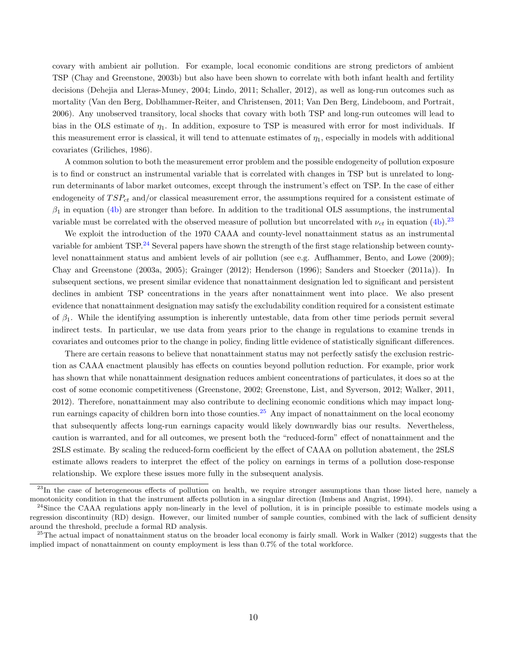covary with ambient air pollution. For example, local economic conditions are strong predictors of ambient TSP [\(Chay and Greenstone,](#page-19-4) [2003b\)](#page-19-4) but also have been shown to correlate with both infant health and fertility decisions [\(Dehejia and Lleras-Muney,](#page-19-16) [2004;](#page-19-16) [Lindo,](#page-20-13) [2011;](#page-20-13) [Schaller,](#page-21-10) [2012\)](#page-21-10), as well as long-run outcomes such as mortality [\(Van den Berg, Doblhammer-Reiter, and Christensen,](#page-21-11) [2011;](#page-21-11) [Van Den Berg, Lindeboom, and Portrait,](#page-21-12) [2006\)](#page-21-12). Any unobserved transitory, local shocks that covary with both TSP and long-run outcomes will lead to bias in the OLS estimate of  $\eta_1$ . In addition, exposure to TSP is measured with error for most individuals. If this measurement error is classical, it will tend to attenuate estimates of  $\eta_1$ , especially in models with additional covariates [\(Griliches,](#page-20-14) [1986\)](#page-20-14).

A common solution to both the measurement error problem and the possible endogeneity of pollution exposure is to find or construct an instrumental variable that is correlated with changes in TSP but is unrelated to longrun determinants of labor market outcomes, except through the instrument's effect on TSP. In the case of either endogeneity of  $TSP_{ct}$  and/or classical measurement error, the assumptions required for a consistent estimate of  $\beta_1$  in equation [\(4b\)](#page-8-4) are stronger than before. In addition to the traditional OLS assumptions, the instrumental variable must be correlated with the observed measure of pollution but uncorrelated with  $\nu_{ct}$  in equation [\(4b\)](#page-8-4).<sup>[23](#page-9-0)</sup>

We exploit the introduction of the 1970 CAAA and county-level nonattainment status as an instrumental variable for ambient TSP.<sup>[24](#page-9-1)</sup> Several papers have shown the strength of the first stage relationship between countylevel nonattainment status and ambient levels of air pollution (see e.g. [Auffhammer, Bento, and Lowe](#page-18-9) [\(2009\)](#page-18-9); [Chay and Greenstone](#page-19-2) [\(2003a,](#page-19-2) [2005\)](#page-19-12); [Grainger](#page-20-15) [\(2012\)](#page-20-15); [Henderson](#page-20-10) [\(1996\)](#page-20-10); [Sanders and Stoecker](#page-21-0) [\(2011a\)](#page-21-0)). In subsequent sections, we present similar evidence that nonattainment designation led to significant and persistent declines in ambient TSP concentrations in the years after nonattainment went into place. We also present evidence that nonattainment designation may satisfy the excludability condition required for a consistent estimate of  $\beta_1$ . While the identifying assumption is inherently untestable, data from other time periods permit several indirect tests. In particular, we use data from years prior to the change in regulations to examine trends in covariates and outcomes prior to the change in policy, finding little evidence of statistically significant differences.

There are certain reasons to believe that nonattainment status may not perfectly satisfy the exclusion restriction as CAAA enactment plausibly has effects on counties beyond pollution reduction. For example, prior work has shown that while nonattainment designation reduces ambient concentrations of particulates, it does so at the cost of some economic competitiveness [\(Greenstone,](#page-20-16) [2002;](#page-20-16) [Greenstone, List, and Syverson,](#page-20-17) [2012;](#page-20-17) [Walker,](#page-21-13) [2011,](#page-21-13) [2012\)](#page-21-14). Therefore, nonattainment may also contribute to declining economic conditions which may impact long-run earnings capacity of children born into those counties.<sup>[25](#page-9-2)</sup> Any impact of nonattainment on the local economy that subsequently affects long-run earnings capacity would likely downwardly bias our results. Nevertheless, caution is warranted, and for all outcomes, we present both the "reduced-form" effect of nonattainment and the 2SLS estimate. By scaling the reduced-form coefficient by the effect of CAAA on pollution abatement, the 2SLS estimate allows readers to interpret the effect of the policy on earnings in terms of a pollution dose-response relationship. We explore these issues more fully in the subsequent analysis.

<span id="page-9-0"></span><sup>&</sup>lt;sup>23</sup>In the case of heterogeneous effects of pollution on health, we require stronger assumptions than those listed here, namely a monotonicity condition in that the instrument affects pollution in a singular direction [\(Imbens and Angrist,](#page-20-18) [1994\)](#page-20-18).

<span id="page-9-1"></span> $^{24}$ Since the CAAA regulations apply non-linearly in the level of pollution, it is in principle possible to estimate models using a regression discontinuity (RD) design. However, our limited number of sample counties, combined with the lack of sufficient density around the threshold, preclude a formal RD analysis.

<span id="page-9-2"></span><sup>&</sup>lt;sup>25</sup>The actual impact of nonattainment status on the broader local economy is fairly small. Work in [Walker](#page-21-14)  $(2012)$  suggests that the implied impact of nonattainment on county employment is less than 0.7% of the total workforce.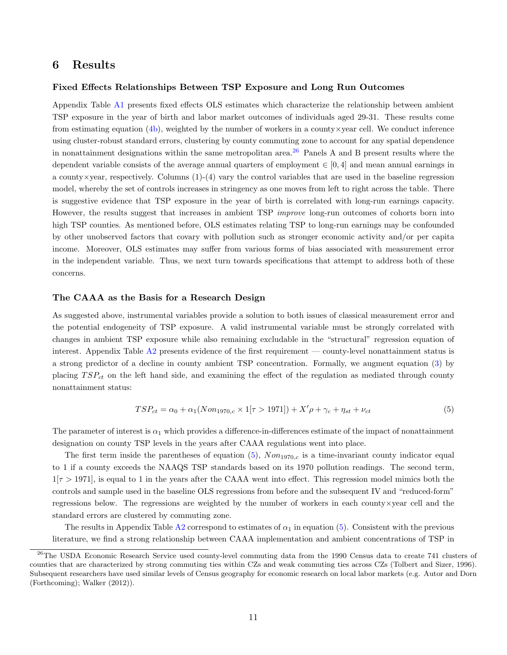### <span id="page-10-0"></span>6 Results

#### Fixed Effects Relationships Between TSP Exposure and Long Run Outcomes

Appendix Table [A1](#page-31-0) presents fixed effects OLS estimates which characterize the relationship between ambient TSP exposure in the year of birth and labor market outcomes of individuals aged 29-31. These results come from estimating equation [\(4b\)](#page-8-4), weighted by the number of workers in a county×year cell. We conduct inference using cluster-robust standard errors, clustering by county commuting zone to account for any spatial dependence in nonattainment designations within the same metropolitan area.<sup>[26](#page-10-1)</sup> Panels A and B present results where the dependent variable consists of the average annual quarters of employment  $\in [0, 4]$  and mean annual earnings in a county×year, respectively. Columns  $(1)-(4)$  vary the control variables that are used in the baseline regression model, whereby the set of controls increases in stringency as one moves from left to right across the table. There is suggestive evidence that TSP exposure in the year of birth is correlated with long-run earnings capacity. However, the results suggest that increases in ambient TSP *improve* long-run outcomes of cohorts born into high TSP counties. As mentioned before, OLS estimates relating TSP to long-run earnings may be confounded by other unobserved factors that covary with pollution such as stronger economic activity and/or per capita income. Moreover, OLS estimates may suffer from various forms of bias associated with measurement error in the independent variable. Thus, we next turn towards specifications that attempt to address both of these concerns.

#### The CAAA as the Basis for a Research Design

As suggested above, instrumental variables provide a solution to both issues of classical measurement error and the potential endogeneity of TSP exposure. A valid instrumental variable must be strongly correlated with changes in ambient TSP exposure while also remaining excludable in the "structural" regression equation of interest. Appendix Table  $A2$  presents evidence of the first requirement — county-level nonattainment status is a strong predictor of a decline in county ambient TSP concentration. Formally, we augment equation [\(3\)](#page-8-0) by placing  $TSP_{ct}$  on the left hand side, and examining the effect of the regulation as mediated through county nonattainment status:

<span id="page-10-2"></span>
$$
TSP_{ct} = \alpha_0 + \alpha_1 (Non_{1970,c} \times 1[\tau > 1971]) + X'\rho + \gamma_c + \eta_{st} + \nu_{ct}
$$
\n
$$
(5)
$$

The parameter of interest is  $\alpha_1$  which provides a difference-in-differences estimate of the impact of nonattainment designation on county TSP levels in the years after CAAA regulations went into place.

The first term inside the parentheses of equation [\(5\)](#page-10-2),  $Non_{1970,c}$  is a time-invariant county indicator equal to 1 if a county exceeds the NAAQS TSP standards based on its 1970 pollution readings. The second term,  $1[\tau > 1971]$ , is equal to 1 in the years after the CAAA went into effect. This regression model mimics both the controls and sample used in the baseline OLS regressions from before and the subsequent IV and "reduced-form" regressions below. The regressions are weighted by the number of workers in each county×year cell and the standard errors are clustered by commuting zone.

The results in Appendix Table [A2](#page-32-0) correspond to estimates of  $\alpha_1$  in equation [\(5\)](#page-10-2). Consistent with the previous literature, we find a strong relationship between CAAA implementation and ambient concentrations of TSP in

<span id="page-10-1"></span><sup>&</sup>lt;sup>26</sup>The USDA Economic Research Service used county-level commuting data from the 1990 Census data to create 741 clusters of counties that are characterized by strong commuting ties within CZs and weak commuting ties across CZs [\(Tolbert and Sizer,](#page-21-15) [1996\)](#page-21-15). Subsequent researchers have used similar levels of Census geography for economic research on local labor markets (e.g. [Autor and Dorn](#page-19-17) [\(Forthcoming\)](#page-19-17); [Walker](#page-21-14) [\(2012\)](#page-21-14)).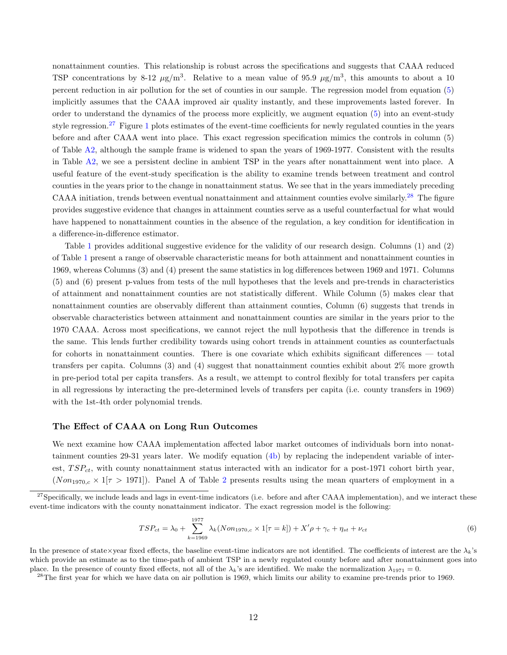nonattainment counties. This relationship is robust across the specifications and suggests that CAAA reduced TSP concentrations by 8-12  $\mu$ g/m<sup>3</sup>. Relative to a mean value of 95.9  $\mu$ g/m<sup>3</sup>, this amounts to about a 10 percent reduction in air pollution for the set of counties in our sample. The regression model from equation [\(5\)](#page-10-2) implicitly assumes that the CAAA improved air quality instantly, and these improvements lasted forever. In order to understand the dynamics of the process more explicitly, we augment equation [\(5\)](#page-10-2) into an event-study style regression.<sup>[27](#page-11-0)</sup> Figure [1](#page-23-0) plots estimates of the event-time coefficients for newly regulated counties in the years before and after CAAA went into place. This exact regression specification mimics the controls in column (5) of Table [A2,](#page-32-0) although the sample frame is widened to span the years of 1969-1977. Consistent with the results in Table [A2,](#page-32-0) we see a persistent decline in ambient TSP in the years after nonattainment went into place. A useful feature of the event-study specification is the ability to examine trends between treatment and control counties in the years prior to the change in nonattainment status. We see that in the years immediately preceding CAAA initiation, trends between eventual nonattainment and attainment counties evolve similarly.<sup>[28](#page-11-1)</sup> The figure provides suggestive evidence that changes in attainment counties serve as a useful counterfactual for what would have happened to nonattainment counties in the absence of the regulation, a key condition for identification in a difference-in-difference estimator.

Table [1](#page-25-0) provides additional suggestive evidence for the validity of our research design. Columns (1) and (2) of Table [1](#page-25-0) present a range of observable characteristic means for both attainment and nonattainment counties in 1969, whereas Columns (3) and (4) present the same statistics in log differences between 1969 and 1971. Columns (5) and (6) present p-values from tests of the null hypotheses that the levels and pre-trends in characteristics of attainment and nonattainment counties are not statistically different. While Column (5) makes clear that nonattainment counties are observably different than attainment counties, Column (6) suggests that trends in observable characteristics between attainment and nonattainment counties are similar in the years prior to the 1970 CAAA. Across most specifications, we cannot reject the null hypothesis that the difference in trends is the same. This lends further credibility towards using cohort trends in attainment counties as counterfactuals for cohorts in nonattainment counties. There is one covariate which exhibits significant differences — total transfers per capita. Columns (3) and (4) suggest that nonattainment counties exhibit about 2% more growth in pre-period total per capita transfers. As a result, we attempt to control flexibly for total transfers per capita in all regressions by interacting the pre-determined levels of transfers per capita (i.e. county transfers in 1969) with the 1st-4th order polynomial trends.

#### The Effect of CAAA on Long Run Outcomes

We next examine how CAAA implementation affected labor market outcomes of individuals born into nonattainment counties 29-31 years later. We modify equation [\(4b\)](#page-8-4) by replacing the independent variable of interest,  $TSP_{ct}$ , with county nonattainment status interacted with an indicator for a post-1971 cohort birth year,  $(Non_{1970,c} \times 1[\tau > 1971])$ . Panel A of Table [2](#page-26-0) presents results using the mean quarters of employment in a

<span id="page-11-2"></span>
$$
TSP_{ct} = \lambda_0 + \sum_{k=1969}^{1977} \lambda_k (Non_{1970,c} \times 1[\tau = k]) + X'\rho + \gamma_c + \eta_{st} + \nu_{ct}
$$
(6)

In the presence of state×year fixed effects, the baseline event-time indicators are not identified. The coefficients of interest are the  $\lambda_k$ 's which provide an estimate as to the time-path of ambient TSP in a newly regulated county before and after nonattainment goes into place. In the presence of county fixed effects, not all of the  $\lambda_k$ 's are identified. We make the normalization  $\lambda_{1971} = 0$ .

<span id="page-11-1"></span> $^{28}$ The first year for which we have data on air pollution is 1969, which limits our ability to examine pre-trends prior to 1969.

<span id="page-11-0"></span> $^{27}$ Specifically, we include leads and lags in event-time indicators (i.e. before and after CAAA implementation), and we interact these event-time indicators with the county nonattainment indicator. The exact regression model is the following: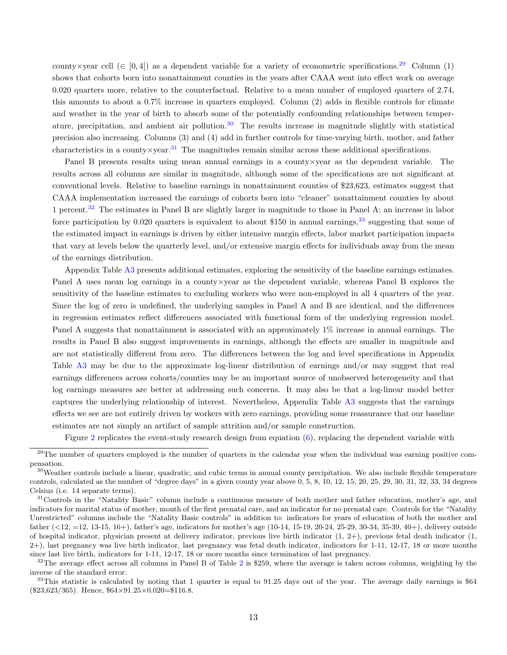county×year cell ( $\in [0, 4]$ ) as a dependent variable for a variety of econometric specifications.<sup>[29](#page-12-0)</sup> Column (1) shows that cohorts born into nonattainment counties in the years after CAAA went into effect work on average 0.020 quarters more, relative to the counterfactual. Relative to a mean number of employed quarters of 2.74, this amounts to about a 0.7% increase in quarters employed. Column (2) adds in flexible controls for climate and weather in the year of birth to absorb some of the potentially confounding relationships between temperature, precipitation, and ambient air pollution. $30$  The results increase in magnitude slightly with statistical precision also increasing. Columns (3) and (4) add in further controls for time-varying birth, mother, and father characteristics in a county $\times$ year.<sup>[31](#page-12-2)</sup> The magnitudes remain similar across these additional specifications.

Panel B presents results using mean annual earnings in a county×year as the dependent variable. The results across all columns are similar in magnitude, although some of the specifications are not significant at conventional levels. Relative to baseline earnings in nonattainment counties of \$23,623, estimates suggest that CAAA implementation increased the earnings of cohorts born into "cleaner" nonattainment counties by about 1 percent.[32](#page-12-3) The estimates in Panel B are slightly larger in magnitude to those in Panel A; an increase in labor force participation by 0.020 quarters is equivalent to about \$150 in annual earnings,  $33$  suggesting that some of the estimated impact in earnings is driven by either intensive margin effects, labor market participation impacts that vary at levels below the quarterly level, and/or extensive margin effects for individuals away from the mean of the earnings distribution.

Appendix Table [A3](#page-33-0) presents additional estimates, exploring the sensitivity of the baseline earnings estimates. Panel A uses mean log earnings in a county×year as the dependent variable, whereas Panel B explores the sensitivity of the baseline estimates to excluding workers who were non-employed in all 4 quarters of the year. Since the log of zero is undefined, the underlying samples in Panel A and B are identical, and the differences in regression estimates reflect differences associated with functional form of the underlying regression model. Panel A suggests that nonattainment is associated with an approximately 1% increase in annual earnings. The results in Panel B also suggest improvements in earnings, although the effects are smaller in magnitude and are not statistically different from zero. The differences between the log and level specifications in Appendix Table [A3](#page-33-0) may be due to the approximate log-linear distribution of earnings and/or may suggest that real earnings differences across cohorts/counties may be an important source of unobserved heterogeneity and that log earnings measures are better at addressing such concerns. It may also be that a log-linear model better captures the underlying relationship of interest. Nevertheless, Appendix Table [A3](#page-33-0) suggests that the earnings effects we see are not entirely driven by workers with zero earnings, providing some reassurance that our baseline estimates are not simply an artifact of sample attrition and/or sample construction.

Figure [2](#page-23-1) replicates the event-study research design from equation [\(6\)](#page-11-2), replacing the dependent variable with

<span id="page-12-3"></span> $32$  $32$ The average effect across all columns in Panel B of Table 2 is \$259, where the average is taken across columns, weighting by the inverse of the standard error.

<span id="page-12-4"></span> $33$ This statistic is calculated by noting that 1 quarter is equal to 91.25 days out of the year. The average daily earnings is \$64  $(\$23,623/365)$ . Hence,  $\$64 \times 91.25 \times 0.020 = \$116.8$ .

<span id="page-12-0"></span> $^{29}$ The number of quarters employed is the number of quarters in the calendar year when the individual was earning positive compensation.

<span id="page-12-1"></span> $30$ Weather controls include a linear, quadratic, and cubic terms in annual county precipitation. We also include flexible temperature controls, calculated as the number of "degree days" in a given county year above 0, 5, 8, 10, 12, 15, 20, 25, 29, 30, 31, 32, 33, 34 degrees Celsius (i.e. 14 separate terms).

<span id="page-12-2"></span> $31$ Controls in the "Natality Basic" column include a continuous measure of both mother and father education, mother's age, and indicators for marital status of mother, month of the first prenatal care, and an indicator for no prenatal care. Controls for the "Natality Unrestricted" columns include the "Natality Basic controls" in addition to: indicators for years of education of both the mother and father (<12, =12, 13-15, 16+), father's age, indicators for mother's age (10-14, 15-19, 20-24, 25-29, 30-34, 35-39, 40+), delivery outside of hospital indicator, physician present at delivery indicator, previous live birth indicator  $(1, 2+)$ , previous fetal death indicator  $(1, 2+)$ 2+), last pregnancy was live birth indicator, last pregnancy was fetal death indicator, indicators for 1-11, 12-17, 18 or more months since last live birth, indicators for 1-11, 12-17, 18 or more months since termination of last pregnancy.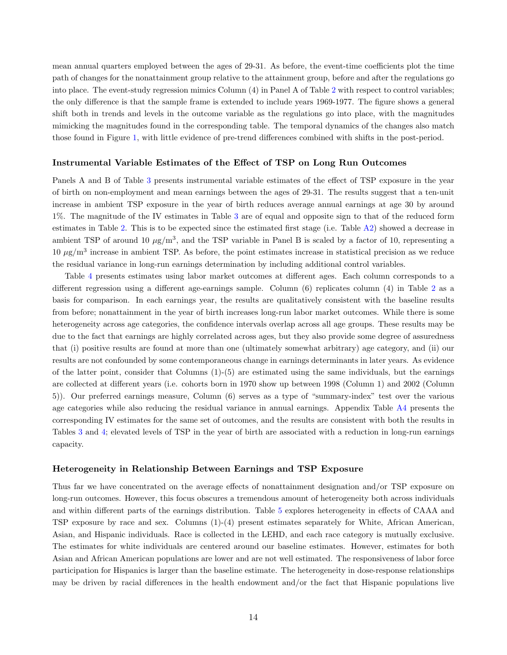mean annual quarters employed between the ages of 29-31. As before, the event-time coefficients plot the time path of changes for the nonattainment group relative to the attainment group, before and after the regulations go into place. The event-study regression mimics Column (4) in Panel A of Table [2](#page-26-0) with respect to control variables; the only difference is that the sample frame is extended to include years 1969-1977. The figure shows a general shift both in trends and levels in the outcome variable as the regulations go into place, with the magnitudes mimicking the magnitudes found in the corresponding table. The temporal dynamics of the changes also match those found in Figure [1,](#page-23-0) with little evidence of pre-trend differences combined with shifts in the post-period.

#### Instrumental Variable Estimates of the Effect of TSP on Long Run Outcomes

Panels A and B of Table [3](#page-27-0) presents instrumental variable estimates of the effect of TSP exposure in the year of birth on non-employment and mean earnings between the ages of 29-31. The results suggest that a ten-unit increase in ambient TSP exposure in the year of birth reduces average annual earnings at age 30 by around 1%. The magnitude of the IV estimates in Table [3](#page-27-0) are of equal and opposite sign to that of the reduced form estimates in Table [2.](#page-26-0) This is to be expected since the estimated first stage (i.e. Table [A2\)](#page-32-0) showed a decrease in ambient TSP of around 10  $\mu$ g/m<sup>3</sup>, and the TSP variable in Panel B is scaled by a factor of 10, representing a 10  $\mu$ g/m<sup>3</sup> increase in ambient TSP. As before, the point estimates increase in statistical precision as we reduce the residual variance in long-run earnings determination by including additional control variables.

Table [4](#page-28-0) presents estimates using labor market outcomes at different ages. Each column corresponds to a different regression using a different age-earnings sample. Column (6) replicates column (4) in Table [2](#page-26-0) as a basis for comparison. In each earnings year, the results are qualitatively consistent with the baseline results from before; nonattainment in the year of birth increases long-run labor market outcomes. While there is some heterogeneity across age categories, the confidence intervals overlap across all age groups. These results may be due to the fact that earnings are highly correlated across ages, but they also provide some degree of assuredness that (i) positive results are found at more than one (ultimately somewhat arbitrary) age category, and (ii) our results are not confounded by some contemporaneous change in earnings determinants in later years. As evidence of the latter point, consider that Columns  $(1)-(5)$  are estimated using the same individuals, but the earnings are collected at different years (i.e. cohorts born in 1970 show up between 1998 (Column 1) and 2002 (Column 5)). Our preferred earnings measure, Column (6) serves as a type of "summary-index" test over the various age categories while also reducing the residual variance in annual earnings. Appendix Table [A4](#page-34-0) presents the corresponding IV estimates for the same set of outcomes, and the results are consistent with both the results in Tables [3](#page-27-0) and [4;](#page-28-0) elevated levels of TSP in the year of birth are associated with a reduction in long-run earnings capacity.

#### Heterogeneity in Relationship Between Earnings and TSP Exposure

Thus far we have concentrated on the average effects of nonattainment designation and/or TSP exposure on long-run outcomes. However, this focus obscures a tremendous amount of heterogeneity both across individuals and within different parts of the earnings distribution. Table [5](#page-29-0) explores heterogeneity in effects of CAAA and TSP exposure by race and sex. Columns (1)-(4) present estimates separately for White, African American, Asian, and Hispanic individuals. Race is collected in the LEHD, and each race category is mutually exclusive. The estimates for white individuals are centered around our baseline estimates. However, estimates for both Asian and African American populations are lower and are not well estimated. The responsiveness of labor force participation for Hispanics is larger than the baseline estimate. The heterogeneity in dose-response relationships may be driven by racial differences in the health endowment and/or the fact that Hispanic populations live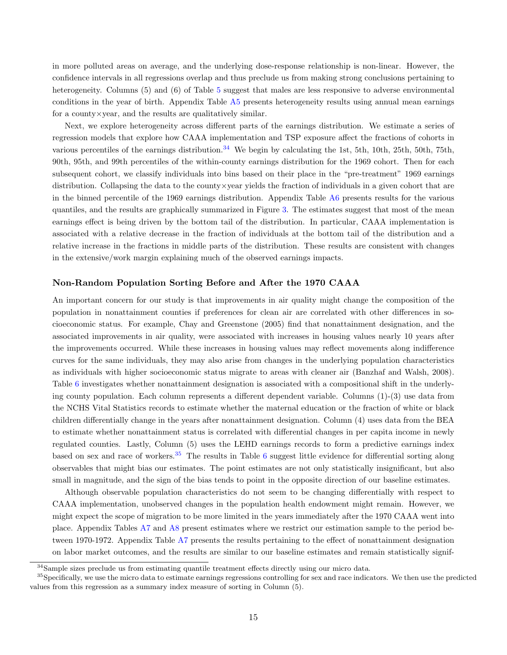in more polluted areas on average, and the underlying dose-response relationship is non-linear. However, the confidence intervals in all regressions overlap and thus preclude us from making strong conclusions pertaining to heterogeneity. Columns ([5](#page-29-0)) and (6) of Table 5 suggest that males are less responsive to adverse environmental conditions in the year of birth. Appendix Table [A5](#page-35-0) presents heterogeneity results using annual mean earnings for a county×year, and the results are qualitatively similar.

Next, we explore heterogeneity across different parts of the earnings distribution. We estimate a series of regression models that explore how CAAA implementation and TSP exposure affect the fractions of cohorts in various percentiles of the earnings distribution.<sup>[34](#page-14-0)</sup> We begin by calculating the 1st, 5th, 10th, 25th, 50th, 75th, 90th, 95th, and 99th percentiles of the within-county earnings distribution for the 1969 cohort. Then for each subsequent cohort, we classify individuals into bins based on their place in the "pre-treatment" 1969 earnings distribution. Collapsing the data to the county×year yields the fraction of individuals in a given cohort that are in the binned percentile of the 1969 earnings distribution. Appendix Table [A6](#page-36-0) presents results for the various quantiles, and the results are graphically summarized in Figure [3.](#page-24-0) The estimates suggest that most of the mean earnings effect is being driven by the bottom tail of the distribution. In particular, CAAA implementation is associated with a relative decrease in the fraction of individuals at the bottom tail of the distribution and a relative increase in the fractions in middle parts of the distribution. These results are consistent with changes in the extensive/work margin explaining much of the observed earnings impacts.

#### Non-Random Population Sorting Before and After the 1970 CAAA

An important concern for our study is that improvements in air quality might change the composition of the population in nonattainment counties if preferences for clean air are correlated with other differences in socioeconomic status. For example, [Chay and Greenstone](#page-19-12) [\(2005\)](#page-19-12) find that nonattainment designation, and the associated improvements in air quality, were associated with increases in housing values nearly 10 years after the improvements occurred. While these increases in housing values may reflect movements along indifference curves for the same individuals, they may also arise from changes in the underlying population characteristics as individuals with higher socioeconomic status migrate to areas with cleaner air [\(Banzhaf and Walsh,](#page-19-18) [2008\)](#page-19-18). Table [6](#page-30-0) investigates whether nonattainment designation is associated with a compositional shift in the underlying county population. Each column represents a different dependent variable. Columns (1)-(3) use data from the NCHS Vital Statistics records to estimate whether the maternal education or the fraction of white or black children differentially change in the years after nonattainment designation. Column (4) uses data from the BEA to estimate whether nonattainment status is correlated with differential changes in per capita income in newly regulated counties. Lastly, Column (5) uses the LEHD earnings records to form a predictive earnings index based on sex and race of workers.[35](#page-14-1) The results in Table [6](#page-30-0) suggest little evidence for differential sorting along observables that might bias our estimates. The point estimates are not only statistically insignificant, but also small in magnitude, and the sign of the bias tends to point in the opposite direction of our baseline estimates.

Although observable population characteristics do not seem to be changing differentially with respect to CAAA implementation, unobserved changes in the population health endowment might remain. However, we might expect the scope of migration to be more limited in the years immediately after the 1970 CAAA went into place. Appendix Tables [A7](#page-37-0) and [A8](#page-38-0) present estimates where we restrict our estimation sample to the period between 1970-1972. Appendix Table [A7](#page-37-0) presents the results pertaining to the effect of nonattainment designation on labor market outcomes, and the results are similar to our baseline estimates and remain statistically signif-

<span id="page-14-1"></span><span id="page-14-0"></span> $34$ Sample sizes preclude us from estimating quantile treatment effects directly using our micro data.

<sup>&</sup>lt;sup>35</sup>Specifically, we use the micro data to estimate earnings regressions controlling for sex and race indicators. We then use the predicted values from this regression as a summary index measure of sorting in Column (5).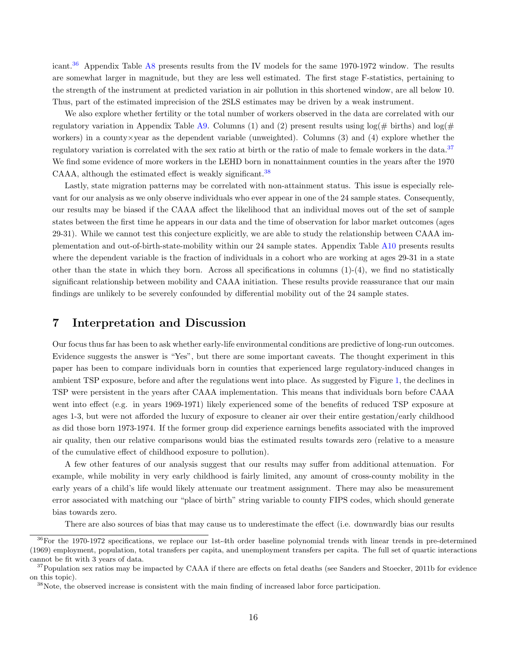icant.[36](#page-15-1) Appendix Table [A8](#page-38-0) presents results from the IV models for the same 1970-1972 window. The results are somewhat larger in magnitude, but they are less well estimated. The first stage F-statistics, pertaining to the strength of the instrument at predicted variation in air pollution in this shortened window, are all below 10. Thus, part of the estimated imprecision of the 2SLS estimates may be driven by a weak instrument.

We also explore whether fertility or the total number of workers observed in the data are correlated with our regulatory variation in Appendix Table [A9.](#page-39-0) Columns (1) and (2) present results using  $\log(\text{\#}$  births) and  $\log(\text{\#}$ workers) in a county  $\times$  year as the dependent variable (unweighted). Columns (3) and (4) explore whether the regulatory variation is correlated with the sex ratio at birth or the ratio of male to female workers in the data.<sup>[37](#page-15-2)</sup> We find some evidence of more workers in the LEHD born in nonattainment counties in the years after the 1970 CAAA, although the estimated effect is weakly significant.<sup>[38](#page-15-3)</sup>

Lastly, state migration patterns may be correlated with non-attainment status. This issue is especially relevant for our analysis as we only observe individuals who ever appear in one of the 24 sample states. Consequently, our results may be biased if the CAAA affect the likelihood that an individual moves out of the set of sample states between the first time he appears in our data and the time of observation for labor market outcomes (ages 29-31). While we cannot test this conjecture explicitly, we are able to study the relationship between CAAA implementation and out-of-birth-state-mobility within our 24 sample states. Appendix Table [A10](#page-40-0) presents results where the dependent variable is the fraction of individuals in a cohort who are working at ages 29-31 in a state other than the state in which they born. Across all specifications in columns  $(1)-(4)$ , we find no statistically significant relationship between mobility and CAAA initiation. These results provide reassurance that our main findings are unlikely to be severely confounded by differential mobility out of the 24 sample states.

### <span id="page-15-0"></span>7 Interpretation and Discussion

Our focus thus far has been to ask whether early-life environmental conditions are predictive of long-run outcomes. Evidence suggests the answer is "Yes", but there are some important caveats. The thought experiment in this paper has been to compare individuals born in counties that experienced large regulatory-induced changes in ambient TSP exposure, before and after the regulations went into place. As suggested by Figure [1,](#page-23-0) the declines in TSP were persistent in the years after CAAA implementation. This means that individuals born before CAAA went into effect (e.g. in years 1969-1971) likely experienced some of the benefits of reduced TSP exposure at ages 1-3, but were not afforded the luxury of exposure to cleaner air over their entire gestation/early childhood as did those born 1973-1974. If the former group did experience earnings benefits associated with the improved air quality, then our relative comparisons would bias the estimated results towards zero (relative to a measure of the cumulative effect of childhood exposure to pollution).

A few other features of our analysis suggest that our results may suffer from additional attenuation. For example, while mobility in very early childhood is fairly limited, any amount of cross-county mobility in the early years of a child's life would likely attenuate our treatment assignment. There may also be measurement error associated with matching our "place of birth" string variable to county FIPS codes, which should generate bias towards zero.

There are also sources of bias that may cause us to underestimate the effect (i.e. downwardly bias our results

<span id="page-15-1"></span> $36$  For the 1970-1972 specifications, we replace our 1st-4th order baseline polynomial trends with linear trends in pre-determined (1969) employment, population, total transfers per capita, and unemployment transfers per capita. The full set of quartic interactions cannot be fit with 3 years of data.

<span id="page-15-2"></span> $37$ Population sex ratios may be impacted by CAAA if there are effects on fetal deaths (see [Sanders and Stoecker,](#page-21-16) [2011b](#page-21-16) for evidence on this topic).

<span id="page-15-3"></span> $38$ Note, the observed increase is consistent with the main finding of increased labor force participation.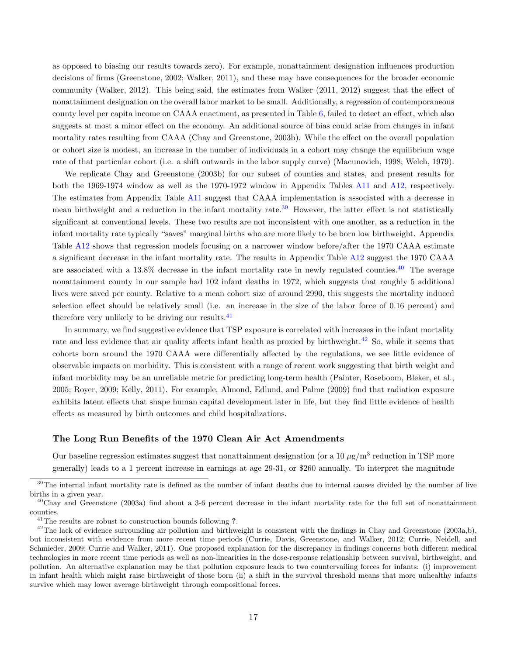as opposed to biasing our results towards zero). For example, nonattainment designation influences production decisions of firms [\(Greenstone,](#page-20-16) [2002;](#page-20-16) [Walker,](#page-21-13) [2011\)](#page-21-13), and these may have consequences for the broader economic community [\(Walker,](#page-21-14) [2012\)](#page-21-14). This being said, the estimates from [Walker](#page-21-13) [\(2011,](#page-21-13) [2012\)](#page-21-14) suggest that the effect of nonattainment designation on the overall labor market to be small. Additionally, a regression of contemporaneous county level per capita income on CAAA enactment, as presented in Table [6,](#page-30-0) failed to detect an effect, which also suggests at most a minor effect on the economy. An additional source of bias could arise from changes in infant mortality rates resulting from CAAA [\(Chay and Greenstone,](#page-19-4) [2003b\)](#page-19-4). While the effect on the overall population or cohort size is modest, an increase in the number of individuals in a cohort may change the equilibrium wage rate of that particular cohort (i.e. a shift outwards in the labor supply curve) [\(Macunovich,](#page-20-19) [1998;](#page-20-19) [Welch,](#page-22-1) [1979\)](#page-22-1).

We replicate [Chay and Greenstone](#page-19-4) [\(2003b\)](#page-19-4) for our subset of counties and states, and present results for both the 1969-1974 window as well as the 1970-1972 window in Appendix Tables [A11](#page-41-0) and [A12,](#page-42-0) respectively. The estimates from Appendix Table [A11](#page-41-0) suggest that CAAA implementation is associated with a decrease in mean birthweight and a reduction in the infant mortality rate.<sup>[39](#page-16-0)</sup> However, the latter effect is not statistically significant at conventional levels. These two results are not inconsistent with one another, as a reduction in the infant mortality rate typically "saves" marginal births who are more likely to be born low birthweight. Appendix Table [A12](#page-42-0) shows that regression models focusing on a narrower window before/after the 1970 CAAA estimate a significant decrease in the infant mortality rate. The results in Appendix Table [A12](#page-42-0) suggest the 1970 CAAA are associated with a 13.8% decrease in the infant mortality rate in newly regulated counties.<sup>[40](#page-16-1)</sup> The average nonattainment county in our sample had 102 infant deaths in 1972, which suggests that roughly 5 additional lives were saved per county. Relative to a mean cohort size of around 2990, this suggests the mortality induced selection effect should be relatively small (i.e. an increase in the size of the labor force of 0.16 percent) and therefore very unlikely to be driving our results.<sup>[41](#page-16-2)</sup>

In summary, we find suggestive evidence that TSP exposure is correlated with increases in the infant mortality rate and less evidence that air quality affects infant health as proxied by birthweight.<sup>[42](#page-16-3)</sup> So, while it seems that cohorts born around the 1970 CAAA were differentially affected by the regulations, we see little evidence of observable impacts on morbidity. This is consistent with a range of recent work suggesting that birth weight and infant morbidity may be an unreliable metric for predicting long-term health [\(Painter, Roseboom, Bleker, et al.,](#page-21-17) [2005;](#page-21-17) [Royer,](#page-21-18) [2009;](#page-21-18) [Kelly,](#page-20-20) [2011\)](#page-20-20). For example, [Almond, Edlund, and Palme](#page-18-3) [\(2009\)](#page-18-3) find that radiation exposure exhibits latent effects that shape human capital development later in life, but they find little evidence of health effects as measured by birth outcomes and child hospitalizations.

#### The Long Run Benefits of the 1970 Clean Air Act Amendments

Our baseline regression estimates suggest that nonattainment designation (or a 10  $\mu$ g/m<sup>3</sup> reduction in TSP more generally) leads to a 1 percent increase in earnings at age 29-31, or \$260 annually. To interpret the magnitude

<span id="page-16-0"></span> $39$ The internal infant mortality rate is defined as the number of infant deaths due to internal causes divided by the number of live births in a given year.

<span id="page-16-1"></span> $^{40}$ [Chay and Greenstone](#page-19-2) [\(2003a\)](#page-19-2) find about a 3-6 percent decrease in the infant mortality rate for the full set of nonattainment counties.

<span id="page-16-3"></span><span id="page-16-2"></span> $^{41}$ The results are robust to construction bounds following ?.

 $^{42}$ The lack of evidence surrounding air pollution and birthweight is consistent with the findings in [Chay and Greenstone](#page-19-2) [\(2003a,](#page-19-2)[b\)](#page-19-4), but inconsistent with evidence from more recent time periods [\(Currie, Davis, Greenstone, and Walker,](#page-19-19) [2012;](#page-19-19) [Currie, Neidell, and](#page-19-6) [Schmieder,](#page-19-6) [2009;](#page-19-6) [Currie and Walker,](#page-19-7) [2011\)](#page-19-7). One proposed explanation for the discrepancy in findings concerns both different medical technologies in more recent time periods as well as non-linearities in the dose-response relationship between survival, birthweight, and pollution. An alternative explanation may be that pollution exposure leads to two countervailing forces for infants: (i) improvement in infant health which might raise birthweight of those born (ii) a shift in the survival threshold means that more unhealthy infants survive which may lower average birthweight through compositional forces.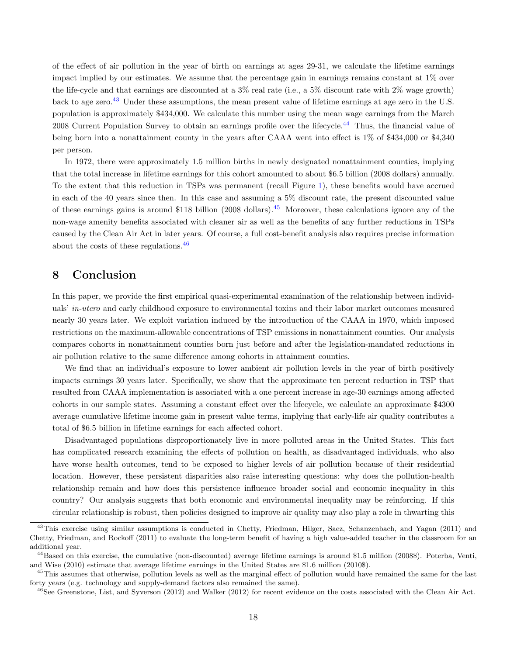of the effect of air pollution in the year of birth on earnings at ages 29-31, we calculate the lifetime earnings impact implied by our estimates. We assume that the percentage gain in earnings remains constant at 1% over the life-cycle and that earnings are discounted at a 3% real rate (i.e., a 5% discount rate with 2% wage growth) back to age zero.<sup>[43](#page-17-1)</sup> Under these assumptions, the mean present value of lifetime earnings at age zero in the U.S. population is approximately \$434,000. We calculate this number using the mean wage earnings from the March 2008 Current Population Survey to obtain an earnings profile over the lifecycle.<sup>[44](#page-17-2)</sup> Thus, the financial value of being born into a nonattainment county in the years after CAAA went into effect is 1% of \$434,000 or \$4,340 per person.

In 1972, there were approximately 1.5 million births in newly designated nonattainment counties, implying that the total increase in lifetime earnings for this cohort amounted to about \$6.5 billion (2008 dollars) annually. To the extent that this reduction in TSPs was permanent (recall Figure [1\)](#page-23-0), these benefits would have accrued in each of the 40 years since then. In this case and assuming a 5% discount rate, the present discounted value of these earnings gains is around \$118 billion (2008 dollars).[45](#page-17-3) Moreover, these calculations ignore any of the non-wage amenity benefits associated with cleaner air as well as the benefits of any further reductions in TSPs caused by the Clean Air Act in later years. Of course, a full cost-benefit analysis also requires precise information about the costs of these regulations.[46](#page-17-4)

## <span id="page-17-0"></span>8 Conclusion

In this paper, we provide the first empirical quasi-experimental examination of the relationship between individuals' in-utero and early childhood exposure to environmental toxins and their labor market outcomes measured nearly 30 years later. We exploit variation induced by the introduction of the CAAA in 1970, which imposed restrictions on the maximum-allowable concentrations of TSP emissions in nonattainment counties. Our analysis compares cohorts in nonattainment counties born just before and after the legislation-mandated reductions in air pollution relative to the same difference among cohorts in attainment counties.

We find that an individual's exposure to lower ambient air pollution levels in the year of birth positively impacts earnings 30 years later. Specifically, we show that the approximate ten percent reduction in TSP that resulted from CAAA implementation is associated with a one percent increase in age-30 earnings among affected cohorts in our sample states. Assuming a constant effect over the lifecycle, we calculate an approximate \$4300 average cumulative lifetime income gain in present value terms, implying that early-life air quality contributes a total of \$6.5 billion in lifetime earnings for each affected cohort.

Disadvantaged populations disproportionately live in more polluted areas in the United States. This fact has complicated research examining the effects of pollution on health, as disadvantaged individuals, who also have worse health outcomes, tend to be exposed to higher levels of air pollution because of their residential location. However, these persistent disparities also raise interesting questions: why does the pollution-health relationship remain and how does this persistence influence broader social and economic inequality in this country? Our analysis suggests that both economic and environmental inequality may be reinforcing. If this circular relationship is robust, then policies designed to improve air quality may also play a role in thwarting this

<span id="page-17-1"></span> $^{43}$ This exercise using similar assumptions is conducted in [Chetty, Friedman, Hilger, Saez, Schanzenbach, and Yagan](#page-19-14) [\(2011\)](#page-19-14) and [Chetty, Friedman, and Rockoff](#page-19-13) [\(2011\)](#page-19-13) to evaluate the long-term benefit of having a high value-added teacher in the classroom for an additional year.

<span id="page-17-2"></span> $^{44}$ Based on this exercise, the cumulative (non-discounted) average lifetime earnings is around \$1.5 million (2008\$). [Poterba, Venti,](#page-21-19) [and Wise](#page-21-19) [\(2010\)](#page-21-19) estimate that average lifetime earnings in the United States are \$1.6 million (2010\$).

<span id="page-17-3"></span><sup>&</sup>lt;sup>45</sup>This assumes that otherwise, pollution levels as well as the marginal effect of pollution would have remained the same for the last forty years (e.g. technology and supply-demand factors also remained the same).

<span id="page-17-4"></span> $^{46}$ See [Greenstone, List, and Syverson](#page-20-17) [\(2012\)](#page-21-14) and [Walker](#page-21-14) (2012) for recent evidence on the costs associated with the Clean Air Act.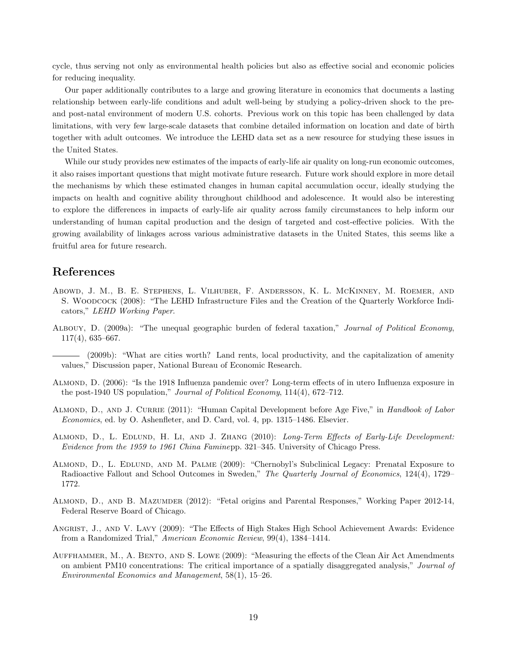cycle, thus serving not only as environmental health policies but also as effective social and economic policies for reducing inequality.

Our paper additionally contributes to a large and growing literature in economics that documents a lasting relationship between early-life conditions and adult well-being by studying a policy-driven shock to the preand post-natal environment of modern U.S. cohorts. Previous work on this topic has been challenged by data limitations, with very few large-scale datasets that combine detailed information on location and date of birth together with adult outcomes. We introduce the LEHD data set as a new resource for studying these issues in the United States.

While our study provides new estimates of the impacts of early-life air quality on long-run economic outcomes, it also raises important questions that might motivate future research. Future work should explore in more detail the mechanisms by which these estimated changes in human capital accumulation occur, ideally studying the impacts on health and cognitive ability throughout childhood and adolescence. It would also be interesting to explore the differences in impacts of early-life air quality across family circumstances to help inform our understanding of human capital production and the design of targeted and cost-effective policies. With the growing availability of linkages across various administrative datasets in the United States, this seems like a fruitful area for future research.

# References

- <span id="page-18-5"></span>Abowd, J. M., B. E. Stephens, L. Vilhuber, F. Andersson, K. L. McKinney, M. Roemer, and S. Woodcock (2008): "The LEHD Infrastructure Files and the Creation of the Quarterly Workforce Indicators," LEHD Working Paper.
- <span id="page-18-7"></span>Albouy, D. (2009a): "The unequal geographic burden of federal taxation," Journal of Political Economy, 117(4), 635–667.
- <span id="page-18-8"></span>(2009b): "What are cities worth? Land rents, local productivity, and the capitalization of amenity values," Discussion paper, National Bureau of Economic Research.
- <span id="page-18-2"></span>Almond, D. (2006): "Is the 1918 Influenza pandemic over? Long-term effects of in utero Influenza exposure in the post-1940 US population," Journal of Political Economy, 114(4), 672–712.
- <span id="page-18-0"></span>ALMOND, D., AND J. CURRIE (2011): "Human Capital Development before Age Five," in *Handbook of Labor* Economics, ed. by O. Ashenfleter, and D. Card, vol. 4, pp. 1315–1486. Elsevier.
- <span id="page-18-4"></span>ALMOND, D., L. EDLUND, H. LI, AND J. ZHANG (2010): Long-Term Effects of Early-Life Development: Evidence from the 1959 to 1961 China Faminepp. 321–345. University of Chicago Press.
- <span id="page-18-3"></span>Almond, D., L. Edlund, and M. Palme (2009): "Chernobyl's Subclinical Legacy: Prenatal Exposure to Radioactive Fallout and School Outcomes in Sweden," The Quarterly Journal of Economics, 124(4), 1729– 1772.
- <span id="page-18-1"></span>ALMOND, D., AND B. MAZUMDER (2012): "Fetal origins and Parental Responses," Working Paper 2012-14, Federal Reserve Board of Chicago.
- <span id="page-18-6"></span>Angrist, J., and V. Lavy (2009): "The Effects of High Stakes High School Achievement Awards: Evidence from a Randomized Trial," American Economic Review, 99(4), 1384–1414.
- <span id="page-18-9"></span>Auffhammer, M., A. Bento, and S. Lowe (2009): "Measuring the effects of the Clean Air Act Amendments on ambient PM10 concentrations: The critical importance of a spatially disaggregated analysis," Journal of Environmental Economics and Management, 58(1), 15–26.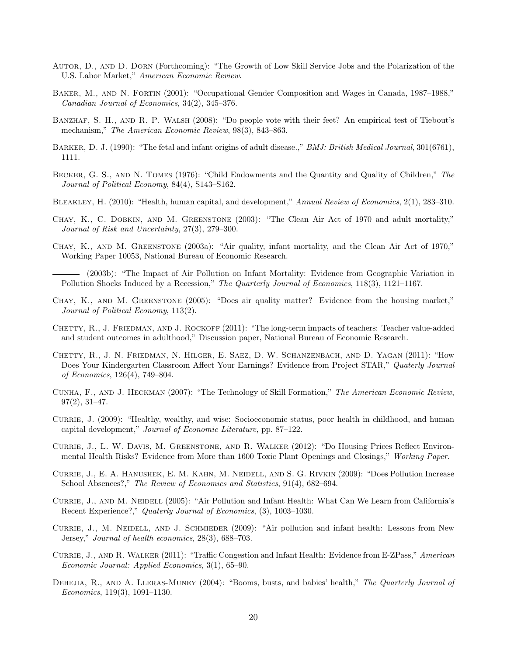- <span id="page-19-17"></span>Autor, D., and D. Dorn (Forthcoming): "The Growth of Low Skill Service Jobs and the Polarization of the U.S. Labor Market," American Economic Review.
- <span id="page-19-15"></span>BAKER, M., AND N. FORTIN (2001): "Occupational Gender Composition and Wages in Canada, 1987–1988," Canadian Journal of Economics, 34(2), 345–376.
- <span id="page-19-18"></span>Banzhaf, S. H., and R. P. Walsh (2008): "Do people vote with their feet? An empirical test of Tiebout's mechanism," The American Economic Review, 98(3), 843–863.
- <span id="page-19-1"></span>BARKER, D. J. (1990): "The fetal and infant origins of adult disease.," BMJ: British Medical Journal, 301(6761), 1111.
- <span id="page-19-8"></span>BECKER, G. S., AND N. TOMES (1976): "Child Endowments and the Quantity and Quality of Children," The Journal of Political Economy, 84(4), S143–S162.
- <span id="page-19-10"></span>BLEAKLEY, H. (2010): "Health, human capital, and development," Annual Review of Economics, 2(1), 283–310.
- <span id="page-19-3"></span>Chay, K., C. Dobkin, and M. Greenstone (2003): "The Clean Air Act of 1970 and adult mortality," Journal of Risk and Uncertainty, 27(3), 279–300.
- <span id="page-19-2"></span>Chay, K., and M. Greenstone (2003a): "Air quality, infant mortality, and the Clean Air Act of 1970," Working Paper 10053, National Bureau of Economic Research.
- <span id="page-19-4"></span>(2003b): "The Impact of Air Pollution on Infant Mortality: Evidence from Geographic Variation in Pollution Shocks Induced by a Recession," The Quarterly Journal of Economics, 118(3), 1121–1167.
- <span id="page-19-12"></span>CHAY, K., AND M. GREENSTONE (2005): "Does air quality matter? Evidence from the housing market," Journal of Political Economy, 113(2).
- <span id="page-19-13"></span>CHETTY, R., J. FRIEDMAN, AND J. ROCKOFF (2011): "The long-term impacts of teachers: Teacher value-added and student outcomes in adulthood," Discussion paper, National Bureau of Economic Research.
- <span id="page-19-14"></span>Chetty, R., J. N. Friedman, N. Hilger, E. Saez, D. W. Schanzenbach, and D. Yagan (2011): "How Does Your Kindergarten Classroom Affect Your Earnings? Evidence from Project STAR," Quaterly Journal of Economics, 126(4), 749–804.
- <span id="page-19-11"></span>Cunha, F., and J. Heckman (2007): "The Technology of Skill Formation," The American Economic Review,  $97(2), 31-47.$
- <span id="page-19-0"></span>CURRIE, J. (2009): "Healthy, wealthy, and wise: Socioeconomic status, poor health in childhood, and human capital development," Journal of Economic Literature, pp. 87–122.
- <span id="page-19-19"></span>Currie, J., L. W. Davis, M. Greenstone, and R. Walker (2012): "Do Housing Prices Reflect Environmental Health Risks? Evidence from More than 1600 Toxic Plant Openings and Closings," Working Paper.
- <span id="page-19-9"></span>Currie, J., E. A. Hanushek, E. M. Kahn, M. Neidell, and S. G. Rivkin (2009): "Does Pollution Increase School Absences?," The Review of Economics and Statistics, 91(4), 682–694.
- <span id="page-19-5"></span>CURRIE, J., AND M. NEIDELL (2005): "Air Pollution and Infant Health: What Can We Learn from California's Recent Experience?," Quaterly Journal of Economics, (3), 1003–1030.
- <span id="page-19-6"></span>CURRIE, J., M. NEIDELL, AND J. SCHMIEDER (2009): "Air pollution and infant health: Lessons from New Jersey," Journal of health economics, 28(3), 688–703.
- <span id="page-19-7"></span>CURRIE, J., AND R. WALKER (2011): "Traffic Congestion and Infant Health: Evidence from E-ZPass," American Economic Journal: Applied Economics, 3(1), 65–90.
- <span id="page-19-16"></span>DEHEJIA, R., AND A. LLERAS-MUNEY (2004): "Booms, busts, and babies' health," The Quarterly Journal of Economics, 119(3), 1091–1130.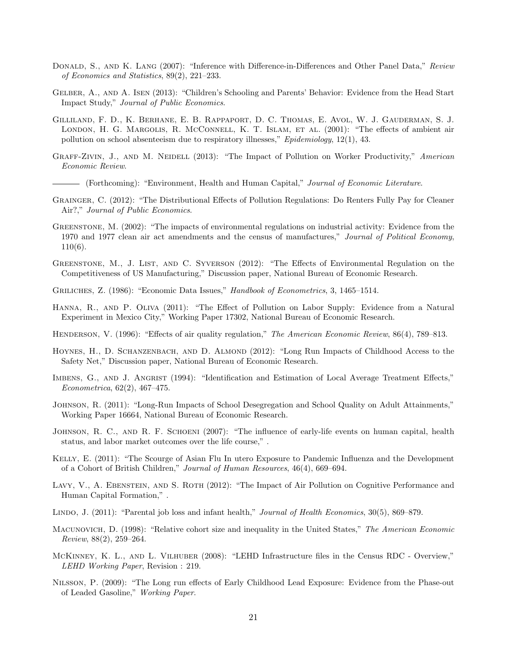- <span id="page-20-12"></span>DONALD, S., AND K. LANG (2007): "Inference with Difference-in-Differences and Other Panel Data," Review of Economics and Statistics, 89(2), 221–233.
- <span id="page-20-1"></span>Gelber, A., and A. Isen (2013): "Children's Schooling and Parents' Behavior: Evidence from the Head Start Impact Study," Journal of Public Economics.
- <span id="page-20-4"></span>Gilliland, F. D., K. Berhane, E. B. Rappaport, D. C. Thomas, E. Avol, W. J. Gauderman, S. J. LONDON, H. G. MARGOLIS, R. MCCONNELL, K. T. ISLAM, ET AL. (2001): "The effects of ambient air pollution on school absenteeism due to respiratory illnesses," Epidemiology, 12(1), 43.
- <span id="page-20-3"></span>GRAFF-ZIVIN, J., AND M. NEIDELL (2013): "The Impact of Pollution on Worker Productivity," American Economic Review.

(Forthcoming): "Environment, Health and Human Capital," Journal of Economic Literature.

- <span id="page-20-15"></span><span id="page-20-0"></span>Grainger, C. (2012): "The Distributional Effects of Pollution Regulations: Do Renters Fully Pay for Cleaner Air?," Journal of Public Economics.
- <span id="page-20-16"></span>GREENSTONE, M. (2002): "The impacts of environmental regulations on industrial activity: Evidence from the 1970 and 1977 clean air act amendments and the census of manufactures," Journal of Political Economy,  $110(6)$ .
- <span id="page-20-17"></span>GREENSTONE, M., J. LIST, AND C. SYVERSON (2012): "The Effects of Environmental Regulation on the Competitiveness of US Manufacturing," Discussion paper, National Bureau of Economic Research.
- <span id="page-20-14"></span>Griliches, Z. (1986): "Economic Data Issues," Handbook of Econometrics, 3, 1465–1514.
- <span id="page-20-2"></span>Hanna, R., and P. Oliva (2011): "The Effect of Pollution on Labor Supply: Evidence from a Natural Experiment in Mexico City," Working Paper 17302, National Bureau of Economic Research.
- <span id="page-20-10"></span>HENDERSON, V. (1996): "Effects of air quality regulation," The American Economic Review, 86(4), 789–813.
- <span id="page-20-7"></span>HOYNES, H., D. SCHANZENBACH, AND D. ALMOND (2012): "Long Run Impacts of Childhood Access to the Safety Net," Discussion paper, National Bureau of Economic Research.
- <span id="page-20-18"></span>IMBENS, G., AND J. ANGRIST (1994): "Identification and Estimation of Local Average Treatment Effects," Econometrica, 62(2), 467–475.
- <span id="page-20-9"></span>Johnson, R. (2011): "Long-Run Impacts of School Desegregation and School Quality on Adult Attainments," Working Paper 16664, National Bureau of Economic Research.
- <span id="page-20-8"></span>JOHNSON, R. C., AND R. F. SCHOENI (2007): "The influence of early-life events on human capital, health status, and labor market outcomes over the life course," .
- <span id="page-20-20"></span>Kelly, E. (2011): "The Scourge of Asian Flu In utero Exposure to Pandemic Influenza and the Development of a Cohort of British Children," Journal of Human Resources, 46(4), 669–694.
- <span id="page-20-5"></span>LAVY, V., A. EBENSTEIN, AND S. ROTH (2012): "The Impact of Air Pollution on Cognitive Performance and Human Capital Formation," .
- <span id="page-20-13"></span>LINDO, J. (2011): "Parental job loss and infant health," Journal of Health Economics, 30(5), 869–879.
- <span id="page-20-19"></span>MACUNOVICH, D. (1998): "Relative cohort size and inequality in the United States," The American Economic Review, 88(2), 259–264.
- <span id="page-20-11"></span>McKinney, K. L., and L. Vilhuber (2008): "LEHD Infrastructure files in the Census RDC - Overview," LEHD Working Paper, Revision : 219.
- <span id="page-20-6"></span>Nilsson, P. (2009): "The Long run effects of Early Childhood Lead Exposure: Evidence from the Phase-out of Leaded Gasoline," Working Paper.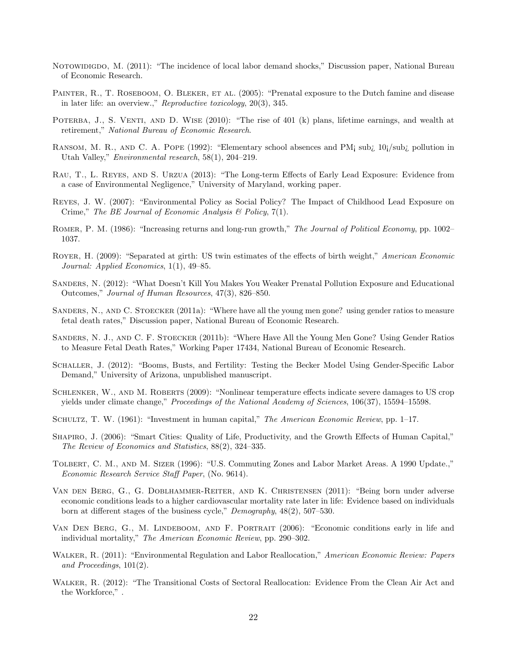- <span id="page-21-8"></span>Notowing Do, M. (2011): "The incidence of local labor demand shocks," Discussion paper, National Bureau of Economic Research.
- <span id="page-21-17"></span>PAINTER, R., T. ROSEBOOM, O. BLEKER, ET AL. (2005): "Prenatal exposure to the Dutch famine and disease in later life: an overview.," Reproductive toxicology, 20(3), 345.
- <span id="page-21-19"></span>POTERBA, J., S. VENTI, AND D. WISE (2010): "The rise of 401 (k) plans, lifetime earnings, and wealth at retirement," National Bureau of Economic Research.
- <span id="page-21-3"></span>Ransom, M. R., and C. A. Pope (1992): "Elementary school absences and PM¡ sub¿ 10¡/sub¿ pollution in Utah Valley," Environmental research, 58(1), 204–219.
- <span id="page-21-6"></span>Rau, T., L. Reyes, and S. Urzua (2013): "The Long-term Effects of Early Lead Exposure: Evidence from a case of Environmental Negligence," University of Maryland, working paper.
- <span id="page-21-5"></span>Reyes, J. W. (2007): "Environmental Policy as Social Policy? The Impact of Childhood Lead Exposure on Crime," The BE Journal of Economic Analysis & Policy, 7(1).
- <span id="page-21-1"></span>ROMER, P. M. (1986): "Increasing returns and long-run growth," The Journal of Political Economy, pp. 1002– 1037.
- <span id="page-21-18"></span>ROYER, H. (2009): "Separated at girth: US twin estimates of the effects of birth weight," American Economic Journal: Applied Economics, 1(1), 49–85.
- <span id="page-21-4"></span>Sanders, N. (2012): "What Doesn't Kill You Makes You Weaker Prenatal Pollution Exposure and Educational Outcomes," Journal of Human Resources, 47(3), 826–850.
- <span id="page-21-0"></span>SANDERS, N., AND C. STOECKER (2011a): "Where have all the young men gone? using gender ratios to measure fetal death rates," Discussion paper, National Bureau of Economic Research.
- <span id="page-21-16"></span>Sanders, N. J., and C. F. Stoecker (2011b): "Where Have All the Young Men Gone? Using Gender Ratios to Measure Fetal Death Rates," Working Paper 17434, National Bureau of Economic Research.
- <span id="page-21-10"></span>Schaller, J. (2012): "Booms, Busts, and Fertility: Testing the Becker Model Using Gender-Specific Labor Demand," University of Arizona, unpublished manuscript.
- <span id="page-21-7"></span>Schlenker, W., and M. Roberts (2009): "Nonlinear temperature effects indicate severe damages to US crop yields under climate change," Proceedings of the National Academy of Sciences, 106(37), 15594–15598.
- <span id="page-21-2"></span>SCHULTZ, T. W. (1961): "Investment in human capital," The American Economic Review, pp. 1–17.
- <span id="page-21-9"></span>Shapiro, J. (2006): "Smart Cities: Quality of Life, Productivity, and the Growth Effects of Human Capital," The Review of Economics and Statistics, 88(2), 324–335.
- <span id="page-21-15"></span>Tolbert, C. M., and M. Sizer (1996): "U.S. Commuting Zones and Labor Market Areas. A 1990 Update.," Economic Research Service Staff Paper, (No. 9614).
- <span id="page-21-11"></span>Van den Berg, G., G. Doblhammer-Reiter, and K. Christensen (2011): "Being born under adverse economic conditions leads to a higher cardiovascular mortality rate later in life: Evidence based on individuals born at different stages of the business cycle," Demography, 48(2), 507–530.
- <span id="page-21-12"></span>VAN DEN BERG, G., M. LINDEBOOM, AND F. PORTRAIT (2006): "Economic conditions early in life and individual mortality," The American Economic Review, pp. 290–302.
- <span id="page-21-13"></span>Walker, R. (2011): "Environmental Regulation and Labor Reallocation," American Economic Review: Papers and Proceedings, 101(2).
- <span id="page-21-14"></span>Walker, R. (2012): "The Transitional Costs of Sectoral Reallocation: Evidence From the Clean Air Act and the Workforce," .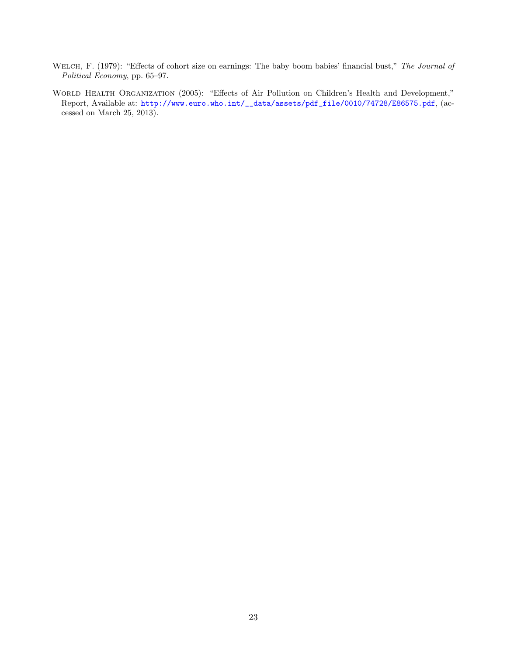- <span id="page-22-1"></span>WELCH, F. (1979): "Effects of cohort size on earnings: The baby boom babies' financial bust," The Journal of Political Economy, pp. 65–97.
- <span id="page-22-0"></span>WORLD HEALTH ORGANIZATION (2005): "Effects of Air Pollution on Children's Health and Development," Report, Available at: [http://www.euro.who.int/\\_\\_data/assets/pdf\\_file/0010/74728/E86575.pdf](http://www.euro.who.int/__data/assets/pdf_file/0010/74728/E86575.pdf), (accessed on March 25, 2013).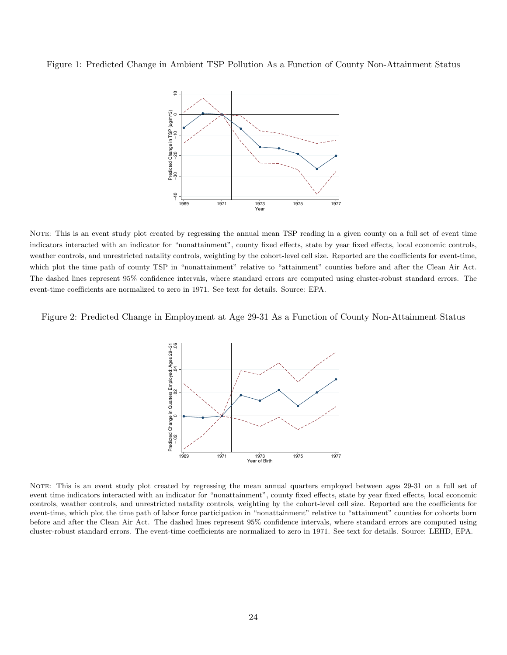<span id="page-23-0"></span>Figure 1: Predicted Change in Ambient TSP Pollution As a Function of County Non-Attainment Status



NOTE: This is an event study plot created by regressing the annual mean TSP reading in a given county on a full set of event time indicators interacted with an indicator for "nonattainment", county fixed effects, state by year fixed effects, local economic controls, weather controls, and unrestricted natality controls, weighting by the cohort-level cell size. Reported are the coefficients for event-time, which plot the time path of county TSP in "nonattainment" relative to "attainment" counties before and after the Clean Air Act. The dashed lines represent 95% confidence intervals, where standard errors are computed using cluster-robust standard errors. The event-time coefficients are normalized to zero in 1971. See text for details. Source: EPA.

<span id="page-23-1"></span>Figure 2: Predicted Change in Employment at Age 29-31 As a Function of County Non-Attainment Status



NOTE: This is an event study plot created by regressing the mean annual quarters employed between ages 29-31 on a full set of event time indicators interacted with an indicator for "nonattainment", county fixed effects, state by year fixed effects, local economic controls, weather controls, and unrestricted natality controls, weighting by the cohort-level cell size. Reported are the coefficients for event-time, which plot the time path of labor force participation in "nonattainment" relative to "attainment" counties for cohorts born before and after the Clean Air Act. The dashed lines represent 95% confidence intervals, where standard errors are computed using cluster-robust standard errors. The event-time coefficients are normalized to zero in 1971. See text for details. Source: LEHD, EPA.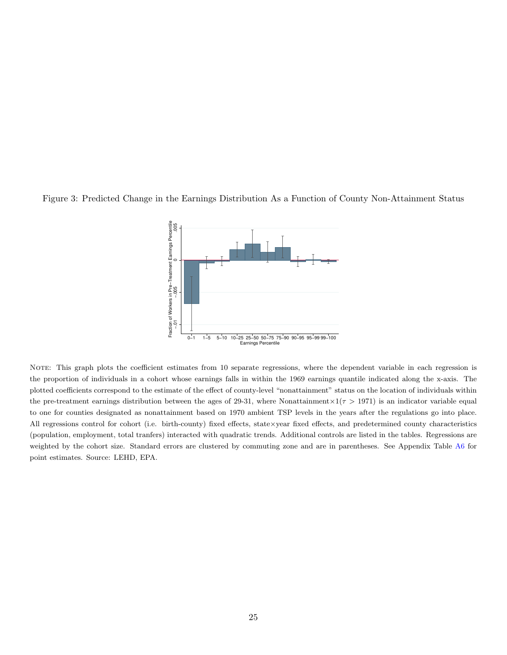<span id="page-24-0"></span>Figure 3: Predicted Change in the Earnings Distribution As a Function of County Non-Attainment Status



NOTE: This graph plots the coefficient estimates from 10 separate regressions, where the dependent variable in each regression is the proportion of individuals in a cohort whose earnings falls in within the 1969 earnings quantile indicated along the x-axis. The plotted coefficients correspond to the estimate of the effect of county-level "nonattainment" status on the location of individuals within the pre-treatment earnings distribution between the ages of 29-31, where Nonattainment $\times 1(\tau > 1971)$  is an indicator variable equal to one for counties designated as nonattainment based on 1970 ambient TSP levels in the years after the regulations go into place. All regressions control for cohort (i.e. birth-county) fixed effects, state×year fixed effects, and predetermined county characteristics (population, employment, total tranfers) interacted with quadratic trends. Additional controls are listed in the tables. Regressions are weighted by the cohort size. Standard errors are clustered by commuting zone and are in parentheses. See Appendix Table [A6](#page-36-0) for point estimates. Source: LEHD, EPA.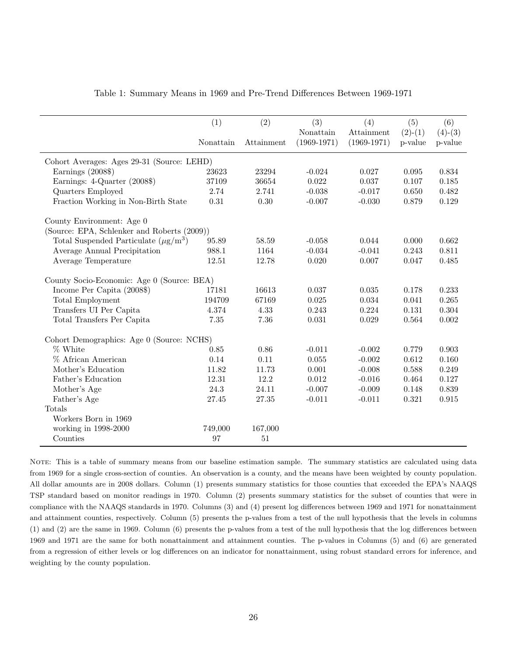<span id="page-25-0"></span>

|                                             | (1)       | (2)        | (3)                        | (4)                         | (5)                  | (6)                  |
|---------------------------------------------|-----------|------------|----------------------------|-----------------------------|----------------------|----------------------|
|                                             | Nonattain | Attainment | Nonattain<br>$(1969-1971)$ | Attainment<br>$(1969-1971)$ | $(2)-(1)$<br>p-value | $(4)-(3)$<br>p-value |
| Cohort Averages: Ages 29-31 (Source: LEHD)  |           |            |                            |                             |                      |                      |
| Earnings (2008\$)                           | 23623     | 23294      | $-0.024$                   | 0.027                       | 0.095                | 0.834                |
| Earnings: 4-Quarter (2008\$)                | 37109     | 36654      | 0.022                      | 0.037                       | 0.107                | 0.185                |
| Quarters Employed                           | 2.74      | 2.741      | $-0.038$                   | $-0.017$                    | 0.650                | 0.482                |
| Fraction Working in Non-Birth State         | 0.31      | 0.30       | $-0.007$                   | $-0.030$                    | 0.879                | 0.129                |
| County Environment: Age 0                   |           |            |                            |                             |                      |                      |
| (Source: EPA, Schlenker and Roberts (2009)) |           |            |                            |                             |                      |                      |
| Total Suspended Particulate $(\mu g/m^3)$   | 95.89     | 58.59      | $-0.058$                   | 0.044                       | 0.000                | 0.662                |
| Average Annual Precipitation                | 988.1     | 1164       | $-0.034$                   | $-0.041$                    | 0.243                | 0.811                |
| Average Temperature                         | 12.51     | 12.78      | 0.020                      | 0.007                       | 0.047                | 0.485                |
| County Socio-Economic: Age 0 (Source: BEA)  |           |            |                            |                             |                      |                      |
| Income Per Capita (2008\$)                  | 17181     | 16613      | 0.037                      | $0.035\,$                   | 0.178                | 0.233                |
| Total Employment                            | 194709    | 67169      | 0.025                      | 0.034                       | 0.041                | 0.265                |
| Transfers UI Per Capita                     | 4.374     | 4.33       | 0.243                      | 0.224                       | 0.131                | 0.304                |
| Total Transfers Per Capita                  | 7.35      | 7.36       | 0.031                      | 0.029                       | 0.564                | 0.002                |
| Cohort Demographics: Age 0 (Source: NCHS)   |           |            |                            |                             |                      |                      |
| % White                                     | 0.85      | 0.86       | $-0.011$                   | $-0.002$                    | 0.779                | 0.903                |
| % African American                          | 0.14      | 0.11       | 0.055                      | $-0.002$                    | 0.612                | 0.160                |
| Mother's Education                          | 11.82     | 11.73      | 0.001                      | $-0.008$                    | 0.588                | 0.249                |
| Father's Education                          | 12.31     | 12.2       | 0.012                      | $-0.016$                    | 0.464                | 0.127                |
| Mother's Age                                | 24.3      | 24.11      | $-0.007$                   | $-0.009$                    | 0.148                | 0.839                |
| Father's Age                                | 27.45     | 27.35      | $-0.011$                   | $-0.011$                    | 0.321                | 0.915                |
| Totals                                      |           |            |                            |                             |                      |                      |
| Workers Born in 1969                        |           |            |                            |                             |                      |                      |
| working in 1998-2000                        | 749,000   | 167,000    |                            |                             |                      |                      |
| Counties                                    | 97        | 51         |                            |                             |                      |                      |

### Table 1: Summary Means in 1969 and Pre-Trend Differences Between 1969-1971

NOTE: This is a table of summary means from our baseline estimation sample. The summary statistics are calculated using data from 1969 for a single cross-section of counties. An observation is a county, and the means have been weighted by county population. All dollar amounts are in 2008 dollars. Column (1) presents summary statistics for those counties that exceeded the EPA's NAAQS TSP standard based on monitor readings in 1970. Column (2) presents summary statistics for the subset of counties that were in compliance with the NAAQS standards in 1970. Columns (3) and (4) present log differences between 1969 and 1971 for nonattainment and attainment counties, respectively. Column (5) presents the p-values from a test of the null hypothesis that the levels in columns (1) and (2) are the same in 1969. Column (6) presents the p-values from a test of the null hypothesis that the log differences between 1969 and 1971 are the same for both nonattainment and attainment counties. The p-values in Columns (5) and (6) are generated from a regression of either levels or log differences on an indicator for nonattainment, using robust standard errors for inference, and weighting by the county population.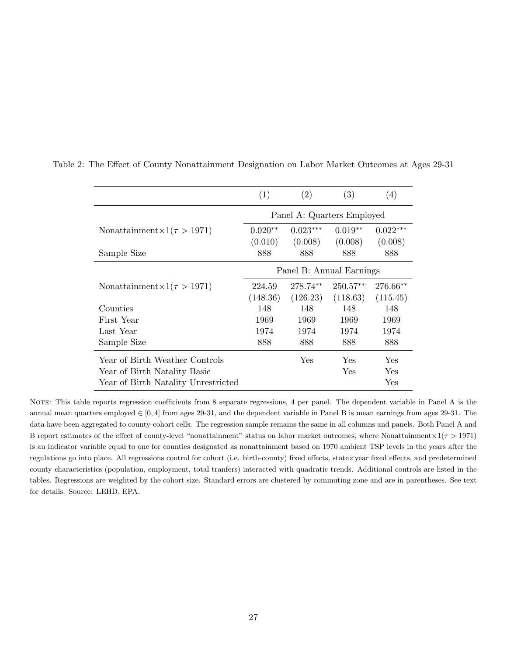|                                       | (1)                        | (2)                      | $\left( 3\right)$ | (4)        |  |  |
|---------------------------------------|----------------------------|--------------------------|-------------------|------------|--|--|
|                                       | Panel A: Quarters Employed |                          |                   |            |  |  |
| Nonattainment $\times 1(\tau > 1971)$ | $0.020**$                  | $0.023***$               | $0.019**$         | $0.022***$ |  |  |
|                                       | (0.010)                    | (0.008)                  | (0.008)           | (0.008)    |  |  |
| Sample Size                           | 888                        | 888                      | 888               | 888        |  |  |
|                                       |                            | Panel B: Annual Earnings |                   |            |  |  |
| Nonattainment $\times 1(\tau > 1971)$ | 224.59                     | 278.74**                 | $250.57**$        | $276.66**$ |  |  |
|                                       | (148.36)                   | (126.23)                 | (118.63)          | (115.45)   |  |  |
| Counties                              | 148                        | 148                      | 148               | 148        |  |  |
| First Year                            | 1969                       | 1969                     | 1969              | 1969       |  |  |
| Last Year                             | 1974                       | 1974                     | 1974              | 1974       |  |  |
| Sample Size                           | 888                        | 888                      | 888               | 888        |  |  |
| Year of Birth Weather Controls        |                            | Yes                      | Yes               | Yes        |  |  |
| Year of Birth Natality Basic          |                            |                          | Yes               | Yes        |  |  |
| Year of Birth Natality Unrestricted   |                            |                          |                   | Yes        |  |  |

<span id="page-26-0"></span>Table 2: The Effect of County Nonattainment Designation on Labor Market Outcomes at Ages 29-31

NOTE: This table reports regression coefficients from 8 separate regressions, 4 per panel. The dependent variable in Panel A is the annual mean quarters employed  $\in [0, 4]$  from ages 29-31, and the dependent variable in Panel B is mean earnings from ages 29-31. The data have been aggregated to county-cohort cells. The regression sample remains the same in all columns and panels. Both Panel A and B report estimates of the effect of county-level "nonattainment" status on labor market outcomes, where Nonattainment $\times 1(\tau > 1971)$ is an indicator variable equal to one for counties designated as nonattainment based on 1970 ambient TSP levels in the years after the regulations go into place. All regressions control for cohort (i.e. birth-county) fixed effects, state×year fixed effects, and predetermined county characteristics (population, employment, total tranfers) interacted with quadratic trends. Additional controls are listed in the tables. Regressions are weighted by the cohort size. Standard errors are clustered by commuting zone and are in parentheses. See text for details. Source: LEHD, EPA.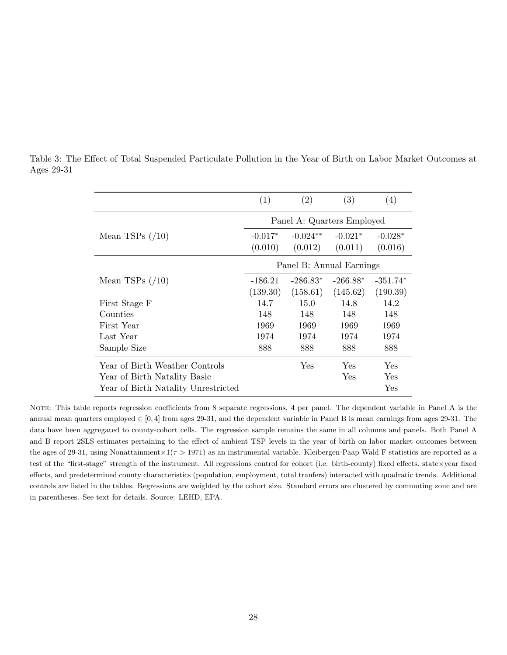|                                     | $\left( 1\right)$          | $\left( 2\right)$        | (3)        | (4)        |  |  |
|-------------------------------------|----------------------------|--------------------------|------------|------------|--|--|
|                                     | Panel A: Quarters Employed |                          |            |            |  |  |
| Mean TSPs $(10)$                    | $-0.017*$                  | $-0.024**$               | $-0.021*$  | $-0.028*$  |  |  |
|                                     | (0.010)                    | (0.012)                  | (0.011)    | (0.016)    |  |  |
|                                     |                            | Panel B: Annual Earnings |            |            |  |  |
| Mean TSPs $(10)$                    | $-186.21$                  | $-286.83*$               | $-266.88*$ | $-351.74*$ |  |  |
|                                     | (139.30)                   | (158.61)                 | (145.62)   | (190.39)   |  |  |
| First Stage F                       | 14.7                       | 15.0                     | 14.8       | 14.2       |  |  |
| Counties                            | 148                        | 148                      | 148        | 148        |  |  |
| First Year                          | 1969                       | 1969                     | 1969       | 1969       |  |  |
| Last Year                           | 1974                       | 1974                     | 1974       | 1974       |  |  |
| Sample Size                         | 888                        | 888                      | 888        | 888        |  |  |
| Year of Birth Weather Controls      |                            | <b>Yes</b>               | <b>Yes</b> | Yes        |  |  |
| Year of Birth Natality Basic        |                            |                          | Yes        | Yes        |  |  |
| Year of Birth Natality Unrestricted |                            |                          |            | Yes        |  |  |

<span id="page-27-0"></span>Table 3: The Effect of Total Suspended Particulate Pollution in the Year of Birth on Labor Market Outcomes at Ages 29-31

NOTE: This table reports regression coefficients from 8 separate regressions, 4 per panel. The dependent variable in Panel A is the annual mean quarters employed  $\in [0, 4]$  from ages 29-31, and the dependent variable in Panel B is mean earnings from ages 29-31. The data have been aggregated to county-cohort cells. The regression sample remains the same in all columns and panels. Both Panel A and B report 2SLS estimates pertaining to the effect of ambient TSP levels in the year of birth on labor market outcomes between the ages of 29-31, using Nonattainment  $\times 1(\tau > 1971)$  as an instrumental variable. Kleibergen-Paap Wald F statistics are reported as a test of the "first-stage" strength of the instrument. All regressions control for cohort (i.e. birth-county) fixed effects, state×year fixed effects, and predetermined county characteristics (population, employment, total tranfers) interacted with quadratic trends. Additional controls are listed in the tables. Regressions are weighted by the cohort size. Standard errors are clustered by commuting zone and are in parentheses. See text for details. Source: LEHD, EPA.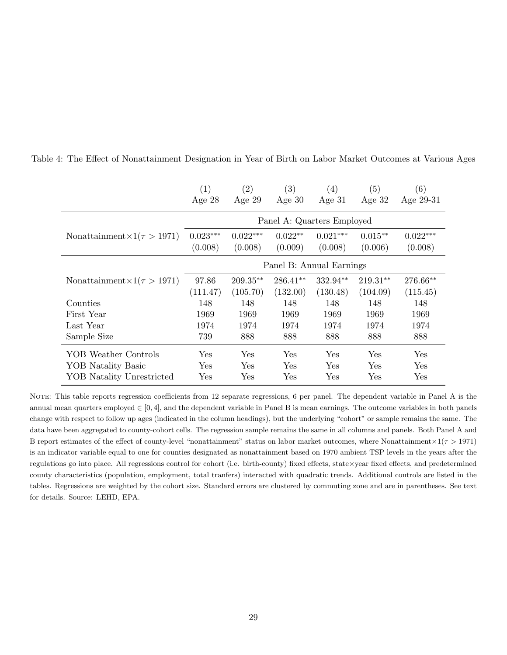|                                       | (1)                        | $\left( 2\right)$ | (3)        | (4)                  | (5)                  | (6)         |  |  |
|---------------------------------------|----------------------------|-------------------|------------|----------------------|----------------------|-------------|--|--|
|                                       | Age $28$                   | Age $29$          | Age $30$   | Age $31$             | Age $32$             | Age $29-31$ |  |  |
|                                       | Panel A: Quarters Employed |                   |            |                      |                      |             |  |  |
| Nonattainment $\times 1(\tau > 1971)$ | $0.023***$                 | $0.022***$        | $0.022**$  | $0.021***$           | $0.015**$            | $0.022***$  |  |  |
|                                       | (0.008)                    | (0.008)           | (0.009)    | (0.008)              | (0.006)              | (0.008)     |  |  |
|                                       | Panel B: Annual Earnings   |                   |            |                      |                      |             |  |  |
| Nonattainment $\times 1(\tau > 1971)$ | 97.86                      | $209.35**$        | $286.41**$ | 332.94**             | $219.31**$           | 276.66**    |  |  |
|                                       | (111.47)                   | (105.70)          | (132.00)   | (130.48)             | (104.09)             | (115.45)    |  |  |
| Counties                              | 148                        | 148               | 148        | 148                  | 148                  | 148         |  |  |
| First Year                            | 1969                       | 1969              | 1969       | 1969                 | 1969                 | 1969        |  |  |
| Last Year                             | 1974                       | 1974              | 1974       | 1974                 | 1974                 | 1974        |  |  |
| Sample Size                           | 739                        | 888               | 888        | 888                  | 888                  | 888         |  |  |
| YOB Weather Controls                  | Yes                        | Yes               | Yes        | Yes                  | Yes                  | Yes         |  |  |
| YOB Natality Basic                    | Yes                        | <b>Yes</b>        | <b>Yes</b> | Yes                  | Yes                  | Yes         |  |  |
| <b>YOB</b> Natality Unrestricted      | Yes                        | Yes               | Yes        | $\operatorname{Yes}$ | $\operatorname{Yes}$ | Yes         |  |  |

<span id="page-28-0"></span>Table 4: The Effect of Nonattainment Designation in Year of Birth on Labor Market Outcomes at Various Ages

NOTE: This table reports regression coefficients from 12 separate regressions, 6 per panel. The dependent variable in Panel A is the annual mean quarters employed  $\in [0, 4]$ , and the dependent variable in Panel B is mean earnings. The outcome variables in both panels change with respect to follow up ages (indicated in the column headings), but the underlying "cohort" or sample remains the same. The data have been aggregated to county-cohort cells. The regression sample remains the same in all columns and panels. Both Panel A and B report estimates of the effect of county-level "nonattainment" status on labor market outcomes, where Nonattainment $\times 1(\tau > 1971)$ is an indicator variable equal to one for counties designated as nonattainment based on 1970 ambient TSP levels in the years after the regulations go into place. All regressions control for cohort (i.e. birth-county) fixed effects, state×year fixed effects, and predetermined county characteristics (population, employment, total tranfers) interacted with quadratic trends. Additional controls are listed in the tables. Regressions are weighted by the cohort size. Standard errors are clustered by commuting zone and are in parentheses. See text for details. Source: LEHD, EPA.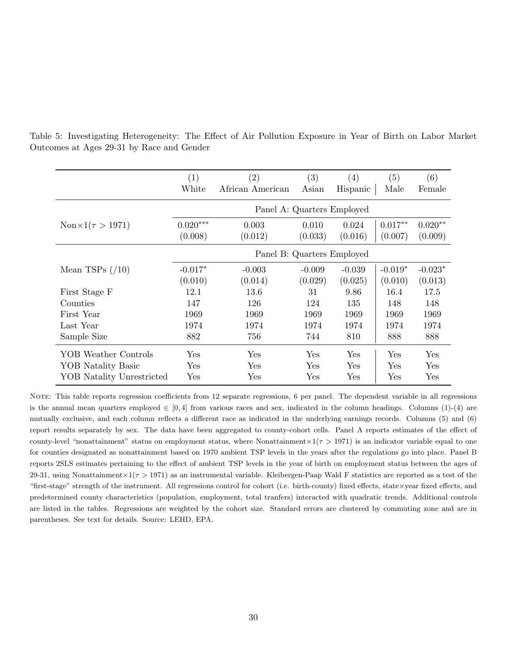|                                   | (1)<br>$\rm White$    | (2)<br>African American    | (3)<br>Asian         | (4)<br>Hispanic     | (5)<br>Male          | (6)<br>Female        |
|-----------------------------------|-----------------------|----------------------------|----------------------|---------------------|----------------------|----------------------|
|                                   |                       | Panel A: Quarters Employed |                      |                     |                      |                      |
| $\text{Non}\times 1(\tau > 1971)$ | $0.020***$<br>(0.008) | 0.003<br>(0.012)           | 0.010<br>(0.033)     | 0.024<br>(0.016)    | $0.017**$<br>(0.007) | $0.020**$<br>(0.009) |
|                                   |                       | Panel B: Quarters Employed |                      |                     |                      |                      |
| Mean TSPs $(10)$                  | $-0.017*$<br>(0.010)  | $-0.003$<br>(0.014)        | $-0.009$<br>(0.029)  | $-0.039$<br>(0.025) | $-0.019*$<br>(0.010) | $-0.023*$<br>(0.013) |
| First Stage F                     | 12.1                  | 13.6                       | 31                   | 9.86                | 16.4                 | 17.5                 |
| Counties                          | 147                   | 126                        | 124                  | 135                 | 148                  | 148                  |
| First Year                        | 1969                  | 1969                       | 1969                 | 1969                | 1969                 | 1969                 |
| Last Year                         | 1974                  | 1974                       | 1974                 | 1974                | 1974                 | 1974                 |
| Sample Size                       | 882                   | 756                        | 744                  | 810                 | 888                  | 888                  |
| YOB Weather Controls              | Yes                   | Yes                        | Yes                  | Yes                 | Yes                  | Yes                  |
| YOB Natality Basic                | Yes                   | Yes                        | Yes                  | Yes                 | Yes                  | Yes                  |
| <b>YOB</b> Natality Unrestricted  | Yes                   | Yes                        | $\operatorname{Yes}$ | Yes                 | Yes                  | Yes                  |

<span id="page-29-0"></span>Table 5: Investigating Heterogeneity: The Effect of Air Pollution Exposure in Year of Birth on Labor Market Outcomes at Ages 29-31 by Race and Gender

NOTE: This table reports regression coefficients from 12 separate regressions, 6 per panel. The dependent variable in all regressions is the annual mean quarters employed  $\in [0, 4]$  from various races and sex, indicated in the column headings. Columns (1)-(4) are mutually exclusive, and each column reflects a different race as indicated in the underlying earnings records. Columns (5) and (6) report results separately by sex. The data have been aggregated to county-cohort cells. Panel A reports estimates of the effect of county-level "nonattainment" status on employment status, where Nonattainment $\times 1(\tau > 1971)$  is an indicator variable equal to one for counties designated as nonattainment based on 1970 ambient TSP levels in the years after the regulations go into place. Panel B reports 2SLS estimates pertaining to the effect of ambient TSP levels in the year of birth on employment status between the ages of 29-31, using Nonattainment $\times$ 1( $\tau$  > 1971) as an instrumental variable. Kleibergen-Paap Wald F statistics are reported as a test of the "first-stage" strength of the instrument. All regressions control for cohort (i.e. birth-county) fixed effects, state×year fixed effects, and predetermined county characteristics (population, employment, total tranfers) interacted with quadratic trends. Additional controls are listed in the tables. Regressions are weighted by the cohort size. Standard errors are clustered by commuting zone and are in parentheses. See text for details. Source: LEHD, EPA.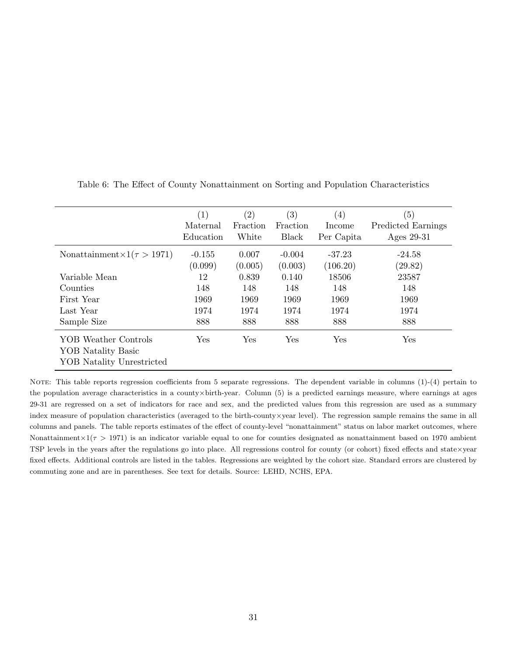<span id="page-30-0"></span>

|                                                                                | $\left( 1\right)$<br>Maternal<br>Education | $\left( 2\right)$<br>Fraction<br>White | $\left( 3\right)$<br>Fraction<br>Black | $\left( 4\right)$<br>Income<br>Per Capita | (5)<br><b>Predicted Earnings</b><br>Ages $29-31$ |
|--------------------------------------------------------------------------------|--------------------------------------------|----------------------------------------|----------------------------------------|-------------------------------------------|--------------------------------------------------|
| Nonattainment $\times 1(\tau > 1971)$                                          | $-0.155$<br>(0.099)                        | 0.007<br>(0.005)                       | $-0.004$<br>(0.003)                    | $-37.23$<br>(106.20)                      | $-24.58$<br>(29.82)                              |
| Variable Mean                                                                  | 12                                         | 0.839                                  | 0.140                                  | 18506                                     | 23587                                            |
| Counties                                                                       | 148                                        | 148                                    | 148                                    | 148                                       | 148                                              |
| First Year                                                                     | 1969                                       | 1969                                   | 1969                                   | 1969                                      | 1969                                             |
| Last Year                                                                      | 1974                                       | 1974                                   | 1974                                   | 1974                                      | 1974                                             |
| Sample Size                                                                    | 888                                        | 888                                    | 888                                    | 888                                       | 888                                              |
| YOB Weather Controls<br>YOB Natality Basic<br><b>YOB</b> Natality Unrestricted | Yes                                        | Yes                                    | Yes                                    | Yes                                       | Yes                                              |

Table 6: The Effect of County Nonattainment on Sorting and Population Characteristics

NOTE: This table reports regression coefficients from 5 separate regressions. The dependent variable in columns (1)-(4) pertain to the population average characteristics in a county×birth-year. Column (5) is a predicted earnings measure, where earnings at ages 29-31 are regressed on a set of indicators for race and sex, and the predicted values from this regression are used as a summary index measure of population characteristics (averaged to the birth-county×year level). The regression sample remains the same in all columns and panels. The table reports estimates of the effect of county-level "nonattainment" status on labor market outcomes, where Nonattainment  $\times 1(\tau > 1971)$  is an indicator variable equal to one for counties designated as nonattainment based on 1970 ambient TSP levels in the years after the regulations go into place. All regressions control for county (or cohort) fixed effects and state×year fixed effects. Additional controls are listed in the tables. Regressions are weighted by the cohort size. Standard errors are clustered by commuting zone and are in parentheses. See text for details. Source: LEHD, NCHS, EPA.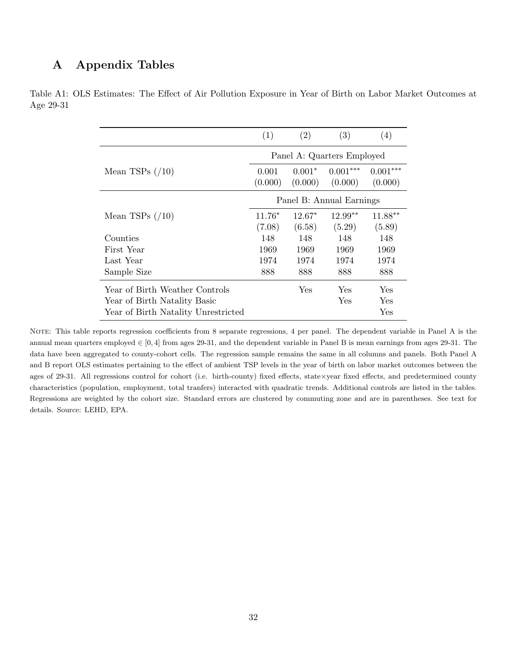# A Appendix Tables

|                                     | (1)                        | $\left( 2\right)$   | $\left( 3\right)$        | $\left(4\right)$      |  |  |
|-------------------------------------|----------------------------|---------------------|--------------------------|-----------------------|--|--|
|                                     | Panel A: Quarters Employed |                     |                          |                       |  |  |
| Mean TSPs $(10)$                    | 0.001<br>(0.000)           | $0.001*$<br>(0.000) | $0.001***$<br>(0.000)    | $0.001***$<br>(0.000) |  |  |
|                                     |                            |                     | Panel B: Annual Earnings |                       |  |  |
| Mean TSPs $(10)$                    | $11.76*$                   | $12.67*$            | $12.99**$                | 11.88**               |  |  |
|                                     | (7.08)                     | (6.58)              | (5.29)                   | (5.89)                |  |  |
| Counties                            | 148                        | 148                 | 148                      | 148                   |  |  |
| First Year                          | 1969                       | 1969                | 1969                     | 1969                  |  |  |
| Last Year                           | 1974                       | 1974                | 1974                     | 1974                  |  |  |
| Sample Size                         | 888                        | 888                 | 888                      | 888                   |  |  |
| Year of Birth Weather Controls      |                            | Yes                 | Yes                      | Yes                   |  |  |
| Year of Birth Natality Basic        |                            |                     | Yes                      | Yes                   |  |  |
| Year of Birth Natality Unrestricted |                            |                     |                          | Yes                   |  |  |

<span id="page-31-0"></span>Table A1: OLS Estimates: The Effect of Air Pollution Exposure in Year of Birth on Labor Market Outcomes at Age 29-31

NOTE: This table reports regression coefficients from 8 separate regressions, 4 per panel. The dependent variable in Panel A is the annual mean quarters employed  $\in [0, 4]$  from ages 29-31, and the dependent variable in Panel B is mean earnings from ages 29-31. The data have been aggregated to county-cohort cells. The regression sample remains the same in all columns and panels. Both Panel A and B report OLS estimates pertaining to the effect of ambient TSP levels in the year of birth on labor market outcomes between the ages of 29-31. All regressions control for cohort (i.e. birth-county) fixed effects, state×year fixed effects, and predetermined county characteristics (population, employment, total tranfers) interacted with quadratic trends. Additional controls are listed in the tables. Regressions are weighted by the cohort size. Standard errors are clustered by commuting zone and are in parentheses. See text for details. Source: LEHD, EPA.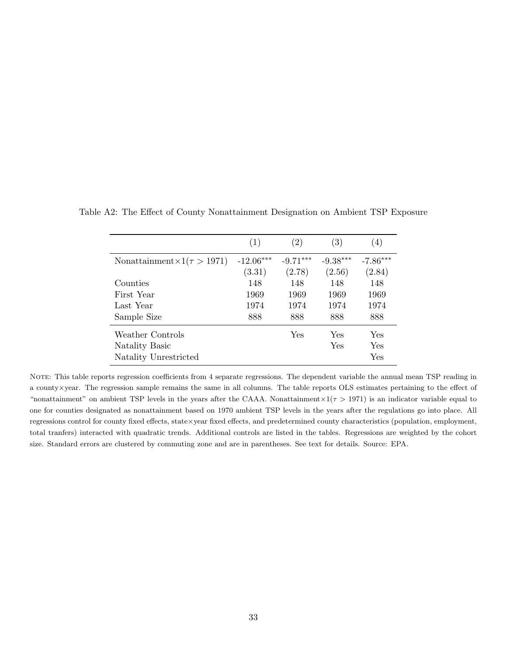|                                       | (1)         | (2)        | (3)        | 4)         |
|---------------------------------------|-------------|------------|------------|------------|
| Nonattainment $\times 1(\tau > 1971)$ | $-12.06***$ | $-9.71***$ | $-9.38***$ | $-7.86***$ |
|                                       | (3.31)      | (2.78)     | (2.56)     | (2.84)     |
| Counties                              | 148         | 148        | 148        | 148        |
| First Year                            | 1969        | 1969       | 1969       | 1969       |
| Last Year                             | 1974        | 1974       | 1974       | 1974       |
| Sample Size                           | 888         | 888        | 888        | 888        |
| Weather Controls                      |             | Yes        | Yes        | Yes        |
| Natality Basic                        |             |            | Yes        | Yes        |
| Natality Unrestricted                 |             |            |            | Yes        |

<span id="page-32-0"></span>Table A2: The Effect of County Nonattainment Designation on Ambient TSP Exposure

NOTE: This table reports regression coefficients from 4 separate regressions. The dependent variable the annual mean TSP reading in a county×year. The regression sample remains the same in all columns. The table reports OLS estimates pertaining to the effect of "nonattainment" on ambient TSP levels in the years after the CAAA. Nonattainment $\times 1(\tau > 1971)$  is an indicator variable equal to one for counties designated as nonattainment based on 1970 ambient TSP levels in the years after the regulations go into place. All regressions control for county fixed effects, state×year fixed effects, and predetermined county characteristics (population, employment, total tranfers) interacted with quadratic trends. Additional controls are listed in the tables. Regressions are weighted by the cohort size. Standard errors are clustered by commuting zone and are in parentheses. See text for details. Source: EPA.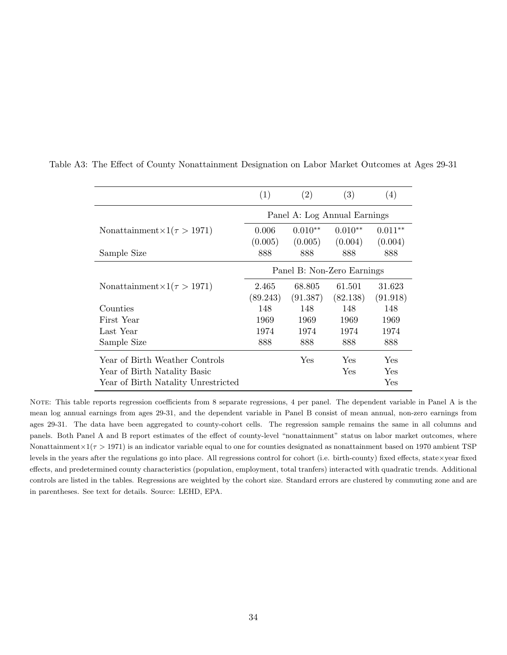|                                       | (1)                          | (2)                        | $\left( 3\right)$ | (4)       |  |  |
|---------------------------------------|------------------------------|----------------------------|-------------------|-----------|--|--|
|                                       | Panel A: Log Annual Earnings |                            |                   |           |  |  |
| Nonattainment $\times 1(\tau > 1971)$ | 0.006                        | $0.010**$                  | $0.010**$         | $0.011**$ |  |  |
|                                       | (0.005)                      | (0.005)                    | (0.004)           | (0.004)   |  |  |
| Sample Size                           | 888                          | 888                        | 888               | 888       |  |  |
|                                       |                              | Panel B: Non-Zero Earnings |                   |           |  |  |
| Nonattainment $\times 1(\tau > 1971)$ | 2.465                        | 68.805                     | 61.501            | 31.623    |  |  |
|                                       | (89.243)                     | (91.387)                   | (82.138)          | (91.918)  |  |  |
| Counties                              | 148                          | 148                        | 148               | 148       |  |  |
| First Year                            | 1969                         | 1969                       | 1969              | 1969      |  |  |
| Last Year                             | 1974                         | 1974                       | 1974              | 1974      |  |  |
| Sample Size                           | 888                          | 888                        | 888               | 888       |  |  |
| Year of Birth Weather Controls        |                              | Yes                        | Yes               | Yes       |  |  |
| Year of Birth Natality Basic          |                              |                            | Yes               | Yes       |  |  |
| Year of Birth Natality Unrestricted   |                              |                            |                   | Yes       |  |  |

<span id="page-33-0"></span>Table A3: The Effect of County Nonattainment Designation on Labor Market Outcomes at Ages 29-31

NOTE: This table reports regression coefficients from 8 separate regressions, 4 per panel. The dependent variable in Panel A is the mean log annual earnings from ages 29-31, and the dependent variable in Panel B consist of mean annual, non-zero earnings from ages 29-31. The data have been aggregated to county-cohort cells. The regression sample remains the same in all columns and panels. Both Panel A and B report estimates of the effect of county-level "nonattainment" status on labor market outcomes, where Nonattainment $\times 1(\tau > 1971)$  is an indicator variable equal to one for counties designated as nonattainment based on 1970 ambient TSP levels in the years after the regulations go into place. All regressions control for cohort (i.e. birth-county) fixed effects, state×year fixed effects, and predetermined county characteristics (population, employment, total tranfers) interacted with quadratic trends. Additional controls are listed in the tables. Regressions are weighted by the cohort size. Standard errors are clustered by commuting zone and are in parentheses. See text for details. Source: LEHD, EPA.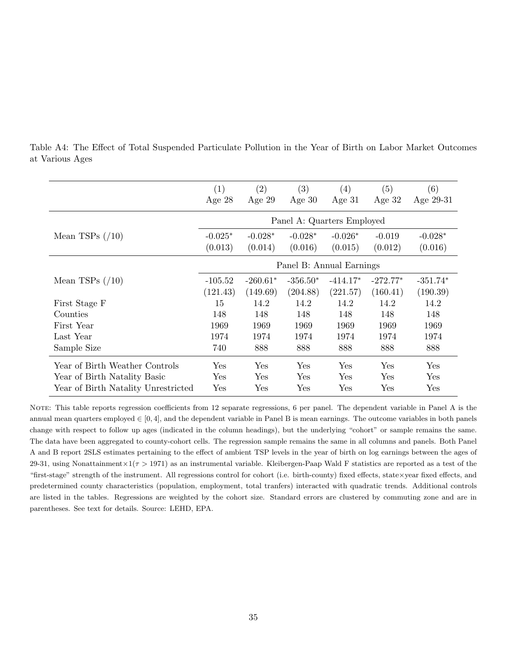|                                     | (1)                  | (2)          | (3)                        | $\left( 4\right)$ | (5)                  | (6)        |
|-------------------------------------|----------------------|--------------|----------------------------|-------------------|----------------------|------------|
|                                     | Age $28$             | Age $29$     | Age $30$                   | Age $31$          | Age $32$             | Age 29-31  |
|                                     |                      |              | Panel A: Quarters Employed |                   |                      |            |
| Mean TSPs $(10)$                    | $-0.025*$            | $-0.028*$    | $-0.028*$                  | $-0.026*$         | $-0.019$             | $-0.028*$  |
|                                     | (0.013)              | (0.014)      | (0.016)                    | (0.015)           | (0.012)              | (0.016)    |
|                                     |                      |              | Panel B: Annual Earnings   |                   |                      |            |
| Mean TSPs $(10)$                    | $-105.52$            | $-260.61*$   | $-356.50*$                 | $-414.17*$        | $-272.77*$           | $-351.74*$ |
|                                     | (121.43)             | (149.69)     | (204.88)                   | (221.57)          | (160.41)             | (190.39)   |
| First Stage F                       | 15                   | 14.2         | 14.2                       | 14.2              | 14.2                 | 14.2       |
| Counties                            | 148                  | 148          | 148                        | 148               | 148                  | 148        |
| First Year                          | 1969                 | 1969         | 1969                       | 1969              | 1969                 | 1969       |
| Last Year                           | 1974                 | 1974         | 1974                       | 1974              | 1974                 | 1974       |
| Sample Size                         | 740                  | 888          | 888                        | 888               | 888                  | 888        |
| Year of Birth Weather Controls      | Yes                  | Yes          | Yes                        | Yes               | Yes                  | Yes        |
| Year of Birth Natality Basic        | $\operatorname{Yes}$ | Yes          | Yes                        | Yes               | Yes                  | Yes        |
| Year of Birth Natality Unrestricted | $\operatorname{Yes}$ | $_{\rm Yes}$ | $\operatorname{Yes}$       | Yes               | $\operatorname{Yes}$ | Yes        |

<span id="page-34-0"></span>Table A4: The Effect of Total Suspended Particulate Pollution in the Year of Birth on Labor Market Outcomes at Various Ages

NOTE: This table reports regression coefficients from 12 separate regressions, 6 per panel. The dependent variable in Panel A is the annual mean quarters employed  $\in [0, 4]$ , and the dependent variable in Panel B is mean earnings. The outcome variables in both panels change with respect to follow up ages (indicated in the column headings), but the underlying "cohort" or sample remains the same. The data have been aggregated to county-cohort cells. The regression sample remains the same in all columns and panels. Both Panel A and B report 2SLS estimates pertaining to the effect of ambient TSP levels in the year of birth on log earnings between the ages of 29-31, using Nonattainment $\times 1(\tau > 1971)$  as an instrumental variable. Kleibergen-Paap Wald F statistics are reported as a test of the "first-stage" strength of the instrument. All regressions control for cohort (i.e. birth-county) fixed effects, state×year fixed effects, and predetermined county characteristics (population, employment, total tranfers) interacted with quadratic trends. Additional controls are listed in the tables. Regressions are weighted by the cohort size. Standard errors are clustered by commuting zone and are in parentheses. See text for details. Source: LEHD, EPA.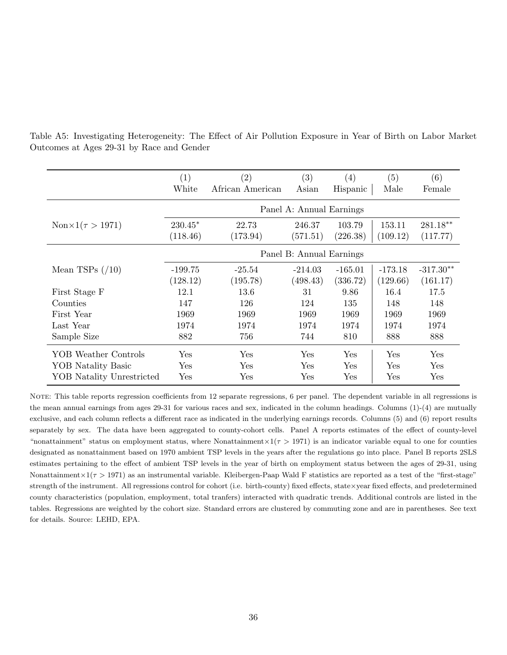|                                   | $\left( 1\right)$<br>White | (2)<br>African American | (3)<br>Asian             | (4)<br>Hispanic       | (5)<br>Male           | (6)<br>Female           |
|-----------------------------------|----------------------------|-------------------------|--------------------------|-----------------------|-----------------------|-------------------------|
|                                   |                            |                         | Panel A: Annual Earnings |                       |                       |                         |
| $\text{Non}\times 1(\tau > 1971)$ | $230.45*$<br>(118.46)      | 22.73<br>(173.94)       | 246.37<br>(571.51)       | 103.79<br>(226.38)    | 153.11<br>(109.12)    | 281.18**<br>(117.77)    |
|                                   |                            |                         | Panel B: Annual Earnings |                       |                       |                         |
| Mean TSPs $(10)$                  | $-199.75$<br>(128.12)      | $-25.54$<br>(195.78)    | $-214.03$<br>(498.43)    | $-165.01$<br>(336.72) | $-173.18$<br>(129.66) | $-317.30**$<br>(161.17) |
| First Stage F                     | 12.1                       | 13.6                    | 31                       | 9.86                  | 16.4                  | 17.5                    |
| Counties                          | 147                        | 126                     | 124                      | 135                   | 148                   | 148                     |
| First Year                        | 1969                       | 1969                    | 1969                     | 1969                  | 1969                  | 1969                    |
| Last Year                         | 1974                       | 1974                    | 1974                     | 1974                  | 1974                  | 1974                    |
| Sample Size                       | 882                        | 756                     | 744                      | 810                   | 888                   | 888                     |
| YOB Weather Controls              | Yes                        | Yes                     | Yes                      | Yes                   | Yes                   | Yes                     |
| YOB Natality Basic                | Yes                        | Yes                     | Yes                      | Yes                   | Yes                   | Yes                     |
| <b>YOB</b> Natality Unrestricted  | Yes                        | Yes                     | Yes                      | Yes                   | Yes                   | Yes                     |

<span id="page-35-0"></span>Table A5: Investigating Heterogeneity: The Effect of Air Pollution Exposure in Year of Birth on Labor Market Outcomes at Ages 29-31 by Race and Gender

NOTE: This table reports regression coefficients from 12 separate regressions, 6 per panel. The dependent variable in all regressions is the mean annual earnings from ages 29-31 for various races and sex, indicated in the column headings. Columns (1)-(4) are mutually exclusive, and each column reflects a different race as indicated in the underlying earnings records. Columns (5) and (6) report results separately by sex. The data have been aggregated to county-cohort cells. Panel A reports estimates of the effect of county-level "nonattainment" status on employment status, where Nonattainment  $\times 1(\tau > 1971)$  is an indicator variable equal to one for counties designated as nonattainment based on 1970 ambient TSP levels in the years after the regulations go into place. Panel B reports 2SLS estimates pertaining to the effect of ambient TSP levels in the year of birth on employment status between the ages of 29-31, using Nonattainment $\times 1(\tau > 1971)$  as an instrumental variable. Kleibergen-Paap Wald F statistics are reported as a test of the "first-stage" strength of the instrument. All regressions control for cohort (i.e. birth-county) fixed effects, state×year fixed effects, and predetermined county characteristics (population, employment, total tranfers) interacted with quadratic trends. Additional controls are listed in the tables. Regressions are weighted by the cohort size. Standard errors are clustered by commuting zone and are in parentheses. See text for details. Source: LEHD, EPA.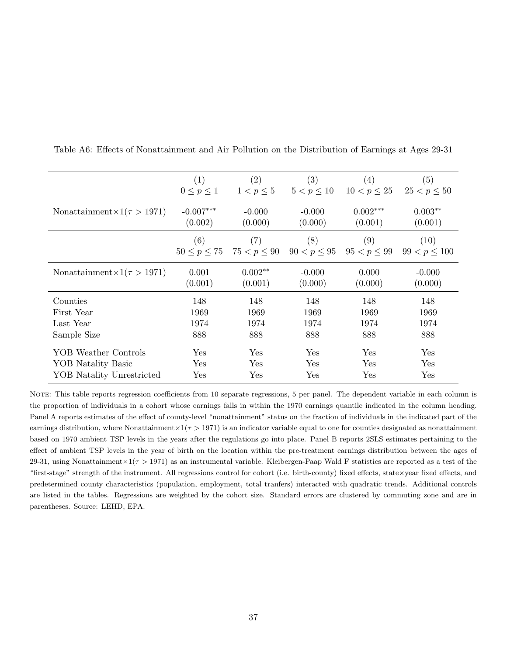|                                       | (1)                 | (2)              | (3)              | (4)              | (5)               |
|---------------------------------------|---------------------|------------------|------------------|------------------|-------------------|
|                                       | $0 \leq p \leq 1$   | $1 < p \leq 5$   | $5 < p \leq 10$  | $10 < p \leq 25$ | $25 < p \le 50$   |
| Nonattainment $\times 1(\tau > 1971)$ | $-0.007***$         | $-0.000$         | $-0.000$         | $0.002***$       | $0.003**$         |
|                                       | (0.002)             | (0.000)          | (0.000)          | (0.001)          | (0.001)           |
|                                       | (6)                 | (7)              | (8)              | (9)              | (10)              |
|                                       | $50 \leq p \leq 75$ | $75 < p \leq 90$ | $90 < p \leq 95$ | $95 < p \leq 99$ | $99 < p \leq 100$ |
| Nonattainment $\times 1(\tau > 1971)$ | 0.001               | $0.002**$        | $-0.000$         | 0.000            | $-0.000$          |
|                                       | (0.001)             | (0.001)          | (0.000)          | (0.000)          | (0.000)           |
| Counties                              | 148                 | 148              | 148              | 148              | 148               |
| First Year                            | 1969                | 1969             | 1969             | 1969             | 1969              |
| Last Year                             | 1974                | 1974             | 1974             | 1974             | 1974              |
| Sample Size                           | 888                 | 888              | 888              | 888              | 888               |
| YOB Weather Controls                  | Yes                 | Yes              | Yes              | Yes              | Yes               |
| YOB Natality Basic                    | Yes                 | Yes              | Yes              | <b>Yes</b>       | Yes               |
| <b>YOB</b> Natality Unrestricted      | Yes                 | Yes              | Yes              | Yes              | Yes               |

<span id="page-36-0"></span>Table A6: Effects of Nonattainment and Air Pollution on the Distribution of Earnings at Ages 29-31

NOTE: This table reports regression coefficients from 10 separate regressions, 5 per panel. The dependent variable in each column is the proportion of individuals in a cohort whose earnings falls in within the 1970 earnings quantile indicated in the column heading. Panel A reports estimates of the effect of county-level "nonattainment" status on the fraction of individuals in the indicated part of the earnings distribution, where Nonattainment $\times 1(\tau > 1971)$  is an indicator variable equal to one for counties designated as nonattainment based on 1970 ambient TSP levels in the years after the regulations go into place. Panel B reports 2SLS estimates pertaining to the effect of ambient TSP levels in the year of birth on the location within the pre-treatment earnings distribution between the ages of 29-31, using Nonattainment $\times$ 1( $\tau$  > 1971) as an instrumental variable. Kleibergen-Paap Wald F statistics are reported as a test of the "first-stage" strength of the instrument. All regressions control for cohort (i.e. birth-county) fixed effects, state×year fixed effects, and predetermined county characteristics (population, employment, total tranfers) interacted with quadratic trends. Additional controls are listed in the tables. Regressions are weighted by the cohort size. Standard errors are clustered by commuting zone and are in parentheses. Source: LEHD, EPA.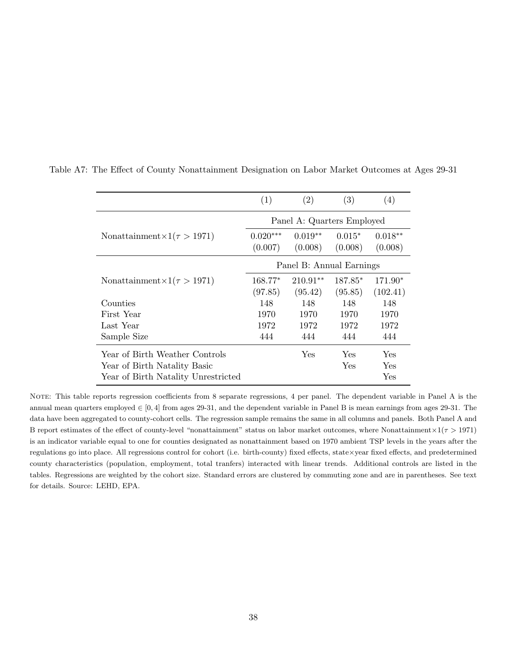|                                       | (1)                        | (2)        | $\left( 3\right)$ | (4)       |
|---------------------------------------|----------------------------|------------|-------------------|-----------|
|                                       | Panel A: Quarters Employed |            |                   |           |
| Nonattainment $\times 1(\tau > 1971)$ | $0.020***$                 | $0.019**$  | $0.015*$          | $0.018**$ |
|                                       | (0.007)                    | (0.008)    | (0.008)           | (0.008)   |
|                                       | Panel B: Annual Earnings   |            |                   |           |
| Nonattainment $\times 1(\tau > 1971)$ | $168.77*$                  | $210.91**$ | 187.85*           | $171.90*$ |
|                                       | (97.85)                    | (95.42)    | (95.85)           | (102.41)  |
| Counties                              | 148                        | 148        | 148               | 148       |
| First Year                            | 1970                       | 1970       | 1970              | 1970      |
| Last Year                             | 1972                       | 1972       | 1972              | 1972      |
| Sample Size                           | 444                        | 444        | 444               | 444       |
| Year of Birth Weather Controls        |                            | Yes        | Yes               | Yes       |
| Year of Birth Natality Basic          |                            |            | Yes               | Yes       |
| Year of Birth Natality Unrestricted   |                            |            |                   | Yes       |

<span id="page-37-0"></span>Table A7: The Effect of County Nonattainment Designation on Labor Market Outcomes at Ages 29-31

NOTE: This table reports regression coefficients from 8 separate regressions, 4 per panel. The dependent variable in Panel A is the annual mean quarters employed  $\in [0, 4]$  from ages 29-31, and the dependent variable in Panel B is mean earnings from ages 29-31. The data have been aggregated to county-cohort cells. The regression sample remains the same in all columns and panels. Both Panel A and B report estimates of the effect of county-level "nonattainment" status on labor market outcomes, where Nonattainment  $\times 1(\tau > 1971)$ is an indicator variable equal to one for counties designated as nonattainment based on 1970 ambient TSP levels in the years after the regulations go into place. All regressions control for cohort (i.e. birth-county) fixed effects, state×year fixed effects, and predetermined county characteristics (population, employment, total tranfers) interacted with linear trends. Additional controls are listed in the tables. Regressions are weighted by the cohort size. Standard errors are clustered by commuting zone and are in parentheses. See text for details. Source: LEHD, EPA.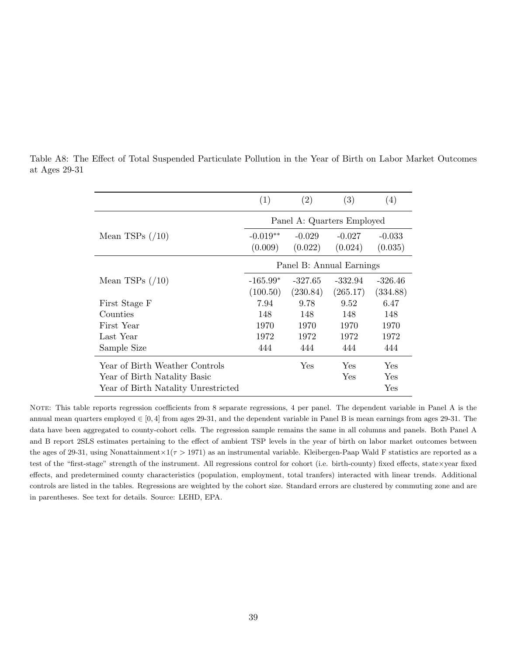|                                     | (1)                        | (2)       | $\left( 3\right)$        | (4)         |
|-------------------------------------|----------------------------|-----------|--------------------------|-------------|
|                                     | Panel A: Quarters Employed |           |                          |             |
| Mean TSPs $(10)$                    | $-0.019**$                 | $-0.029$  | $-0.027$                 | $-0.033$    |
|                                     | (0.009)                    | (0.022)   | (0.024)                  | (0.035)     |
|                                     |                            |           | Panel B: Annual Earnings |             |
| Mean TSPs $(10)$                    | $-165.99*$                 | $-327.65$ | $-332.94$                | $-326.46$   |
|                                     | (100.50)                   | (230.84)  | (265.17)                 | (334.88)    |
| First Stage F                       | 7.94                       | 9.78      | 9.52                     | 6.47        |
| Counties                            | 148                        | 148       | 148                      | 148         |
| First Year                          | 1970                       | 1970      | 1970                     | 1970        |
| Last Year                           | 1972                       | 1972      | 1972                     | 1972        |
| Sample Size                         | 444                        | 444       | 444                      | 444         |
| Year of Birth Weather Controls      |                            | Yes       | Yes                      | Yes         |
| Year of Birth Natality Basic        |                            |           | Yes                      | Yes         |
| Year of Birth Natality Unrestricted |                            |           |                          | ${\rm Yes}$ |

<span id="page-38-0"></span>Table A8: The Effect of Total Suspended Particulate Pollution in the Year of Birth on Labor Market Outcomes at Ages 29-31

NOTE: This table reports regression coefficients from 8 separate regressions, 4 per panel. The dependent variable in Panel A is the annual mean quarters employed  $\in [0, 4]$  from ages 29-31, and the dependent variable in Panel B is mean earnings from ages 29-31. The data have been aggregated to county-cohort cells. The regression sample remains the same in all columns and panels. Both Panel A and B report 2SLS estimates pertaining to the effect of ambient TSP levels in the year of birth on labor market outcomes between the ages of 29-31, using Nonattainment  $\times 1(\tau > 1971)$  as an instrumental variable. Kleibergen-Paap Wald F statistics are reported as a test of the "first-stage" strength of the instrument. All regressions control for cohort (i.e. birth-county) fixed effects, state×year fixed effects, and predetermined county characteristics (population, employment, total tranfers) interacted with linear trends. Additional controls are listed in the tables. Regressions are weighted by the cohort size. Standard errors are clustered by commuting zone and are in parentheses. See text for details. Source: LEHD, EPA.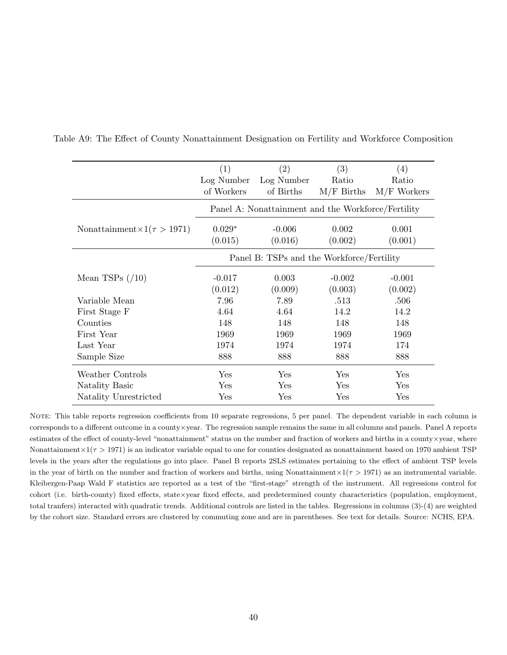|                                       | (1)<br>Log Number<br>of Workers           | (2)<br>Log Number<br>of Births                     | (3)<br>Ratio<br>$M/F$ Births | (4)<br>Ratio<br>$M/F$ Workers |
|---------------------------------------|-------------------------------------------|----------------------------------------------------|------------------------------|-------------------------------|
|                                       |                                           | Panel A: Nonattainment and the Workforce/Fertility |                              |                               |
| Nonattainment $\times 1(\tau > 1971)$ | $0.029*$<br>(0.015)                       | $-0.006$<br>(0.016)                                | 0.002<br>(0.002)             | 0.001<br>(0.001)              |
|                                       | Panel B: TSPs and the Workforce/Fertility |                                                    |                              |                               |
| Mean TSPs $(10)$                      | $-0.017$<br>(0.012)                       | 0.003<br>(0.009)                                   | $-0.002$<br>(0.003)          | $-0.001$<br>(0.002)           |
| Variable Mean                         | 7.96                                      | 7.89                                               | .513                         | .506                          |
| First Stage F                         | 4.64                                      | 4.64                                               | 14.2                         | 14.2                          |
| Counties                              | 148                                       | 148                                                | 148                          | 148                           |
| First Year                            | 1969                                      | 1969                                               | 1969                         | 1969                          |
| Last Year                             | 1974                                      | 1974                                               | 1974                         | 174                           |
| Sample Size                           | 888                                       | 888                                                | 888                          | 888                           |
| Weather Controls                      | Yes                                       | Yes                                                | Yes                          | Yes                           |
| Natality Basic                        | Yes                                       | Yes                                                | Yes                          | Yes                           |
| Natality Unrestricted                 | Yes                                       | Yes                                                | Yes                          | Yes                           |

<span id="page-39-0"></span>Table A9: The Effect of County Nonattainment Designation on Fertility and Workforce Composition

NOTE: This table reports regression coefficients from 10 separate regressions, 5 per panel. The dependent variable in each column is corresponds to a different outcome in a county×year. The regression sample remains the same in all columns and panels. Panel A reports estimates of the effect of county-level "nonattainment" status on the number and fraction of workers and births in a county×year, where Nonattainment $\times 1(\tau > 1971)$  is an indicator variable equal to one for counties designated as nonattainment based on 1970 ambient TSP levels in the years after the regulations go into place. Panel B reports 2SLS estimates pertaining to the effect of ambient TSP levels in the year of birth on the number and fraction of workers and births, using Nonattainment $\times 1(\tau > 1971)$  as an instrumental variable. Kleibergen-Paap Wald F statistics are reported as a test of the "first-stage" strength of the instrument. All regressions control for cohort (i.e. birth-county) fixed effects, state×year fixed effects, and predetermined county characteristics (population, employment, total tranfers) interacted with quadratic trends. Additional controls are listed in the tables. Regressions in columns (3)-(4) are weighted by the cohort size. Standard errors are clustered by commuting zone and are in parentheses. See text for details. Source: NCHS, EPA.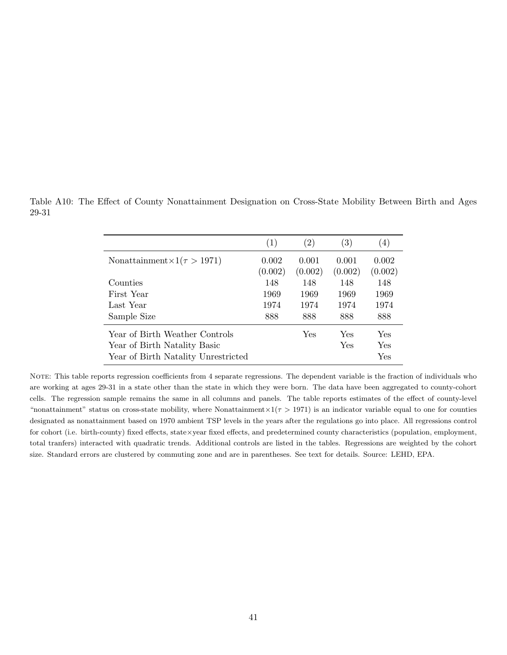<span id="page-40-0"></span>Table A10: The Effect of County Nonattainment Designation on Cross-State Mobility Between Birth and Ages 29-31

|                                       | (1)     | (2)     | $\left( 3\right)$ | 4)      |
|---------------------------------------|---------|---------|-------------------|---------|
| Nonattainment $\times 1(\tau > 1971)$ | 0.002   | 0.001   | 0.001             | 0.002   |
|                                       | (0.002) | (0.002) | (0.002)           | (0.002) |
| Counties                              | 148     | 148     | 148               | 148     |
| First Year                            | 1969    | 1969    | 1969              | 1969    |
| Last Year                             | 1974    | 1974    | 1974              | 1974    |
| Sample Size                           | 888     | 888     | 888               | 888     |
| Year of Birth Weather Controls        |         | Yes     | Yes               | Yes     |
| Year of Birth Natality Basic          |         |         | Yes               | Yes     |
| Year of Birth Natality Unrestricted   |         |         |                   | Yes     |

NOTE: This table reports regression coefficients from 4 separate regressions. The dependent variable is the fraction of individuals who are working at ages 29-31 in a state other than the state in which they were born. The data have been aggregated to county-cohort cells. The regression sample remains the same in all columns and panels. The table reports estimates of the effect of county-level "nonattainment" status on cross-state mobility, where Nonattainment  $\times 1(\tau > 1971)$  is an indicator variable equal to one for counties designated as nonattainment based on 1970 ambient TSP levels in the years after the regulations go into place. All regressions control for cohort (i.e. birth-county) fixed effects, state×year fixed effects, and predetermined county characteristics (population, employment, total tranfers) interacted with quadratic trends. Additional controls are listed in the tables. Regressions are weighted by the cohort size. Standard errors are clustered by commuting zone and are in parentheses. See text for details. Source: LEHD, EPA.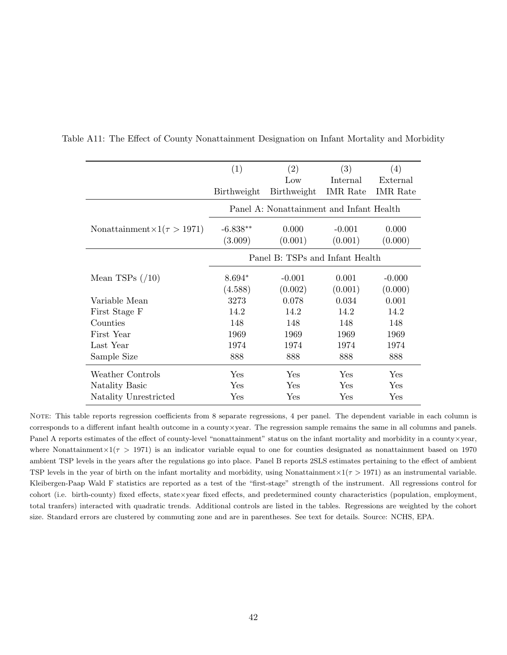|                                       | (1)                             | (2)                                      | (3)             | (4)             |
|---------------------------------------|---------------------------------|------------------------------------------|-----------------|-----------------|
|                                       |                                 | Low                                      | Internal        | External        |
|                                       | Birthweight                     | Birthweight                              | <b>IMR</b> Rate | <b>IMR</b> Rate |
|                                       |                                 | Panel A: Nonattainment and Infant Health |                 |                 |
| Nonattainment $\times 1(\tau > 1971)$ | $-6.838**$                      | 0.000                                    | $-0.001$        | 0.000           |
|                                       | (3.009)                         | (0.001)                                  | (0.001)         | (0.000)         |
|                                       | Panel B: TSPs and Infant Health |                                          |                 |                 |
| Mean TSPs $(10)$                      | 8.694*                          | $-0.001$                                 | 0.001           | $-0.000$        |
|                                       | (4.588)                         | (0.002)                                  | (0.001)         | (0.000)         |
| Variable Mean                         | 3273                            | 0.078                                    | 0.034           | 0.001           |
| First Stage F                         | 14.2                            | 14.2                                     | 14.2            | 14.2            |
| Counties                              | 148                             | 148                                      | 148             | 148             |
| First Year                            | 1969                            | 1969                                     | 1969            | 1969            |
| Last Year                             | 1974                            | 1974                                     | 1974            | 1974            |
| Sample Size                           | 888                             | 888                                      | 888             | 888             |
| Weather Controls                      | Yes                             | Yes                                      | Yes             | Yes             |
| Natality Basic                        | Yes                             | Yes                                      | Yes             | Yes             |
| Natality Unrestricted                 | Yes                             | Yes                                      | ${\rm Yes}$     | Yes             |

<span id="page-41-0"></span>Table A11: The Effect of County Nonattainment Designation on Infant Mortality and Morbidity

NOTE: This table reports regression coefficients from 8 separate regressions, 4 per panel. The dependent variable in each column is corresponds to a different infant health outcome in a county×year. The regression sample remains the same in all columns and panels. Panel A reports estimates of the effect of county-level "nonattainment" status on the infant mortality and morbidity in a county×year, where Nonattainment  $\times 1(\tau > 1971)$  is an indicator variable equal to one for counties designated as nonattainment based on 1970 ambient TSP levels in the years after the regulations go into place. Panel B reports 2SLS estimates pertaining to the effect of ambient TSP levels in the year of birth on the infant mortality and morbidity, using Nonattainment×1( $\tau$  > 1971) as an instrumental variable. Kleibergen-Paap Wald F statistics are reported as a test of the "first-stage" strength of the instrument. All regressions control for cohort (i.e. birth-county) fixed effects, state×year fixed effects, and predetermined county characteristics (population, employment, total tranfers) interacted with quadratic trends. Additional controls are listed in the tables. Regressions are weighted by the cohort size. Standard errors are clustered by commuting zone and are in parentheses. See text for details. Source: NCHS, EPA.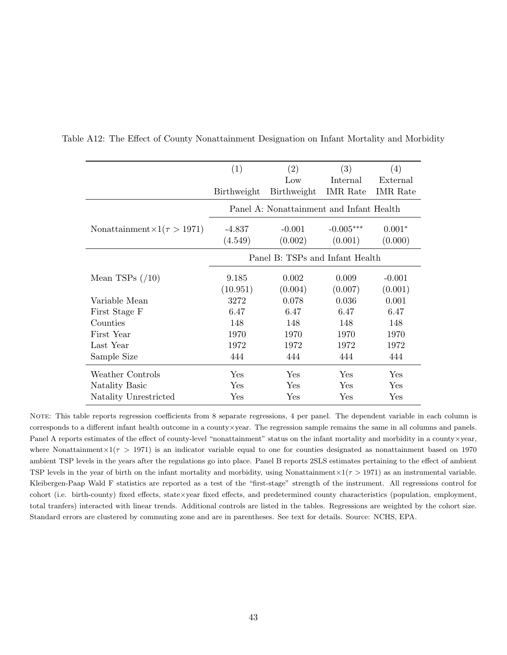|                                       | (1)                             | (2)<br>Low                               | (3)<br><i>Internal</i> | (4)<br>External |
|---------------------------------------|---------------------------------|------------------------------------------|------------------------|-----------------|
|                                       | Birthweight                     | Birthweight                              | <b>IMR</b> Rate        | <b>IMR</b> Rate |
|                                       |                                 | Panel A: Nonattainment and Infant Health |                        |                 |
| Nonattainment $\times 1(\tau > 1971)$ | $-4.837$                        | $-0.001$                                 | $-0.005***$            | $0.001*$        |
|                                       | (4.549)                         | (0.002)                                  | (0.001)                | (0.000)         |
|                                       | Panel B: TSPs and Infant Health |                                          |                        |                 |
| Mean TSPs $(10)$                      | 9.185                           | 0.002                                    | 0.009                  | $-0.001$        |
|                                       | (10.951)                        | (0.004)                                  | (0.007)                | (0.001)         |
| Variable Mean                         | 3272                            | 0.078                                    | 0.036                  | 0.001           |
| First Stage F                         | 6.47                            | 6.47                                     | 6.47                   | 6.47            |
| Counties                              | 148                             | 148                                      | 148                    | 148             |
| First Year                            | 1970                            | 1970                                     | 1970                   | 1970            |
| Last Year                             | 1972                            | 1972                                     | 1972                   | 1972            |
| Sample Size                           | 444                             | 444                                      | 444                    | 444             |
| Weather Controls                      | Yes                             | Yes                                      | Yes                    | Yes             |
| Natality Basic                        | Yes                             | Yes                                      | Yes                    | Yes             |
| Natality Unrestricted                 | $\operatorname{Yes}$            | Yes                                      | ${\rm Yes}$            | Yes             |

<span id="page-42-0"></span>Table A12: The Effect of County Nonattainment Designation on Infant Mortality and Morbidity

NOTE: This table reports regression coefficients from 8 separate regressions, 4 per panel. The dependent variable in each column is corresponds to a different infant health outcome in a county×year. The regression sample remains the same in all columns and panels. Panel A reports estimates of the effect of county-level "nonattainment" status on the infant mortality and morbidity in a county×year, where Nonattainment  $\times 1(\tau > 1971)$  is an indicator variable equal to one for counties designated as nonattainment based on 1970 ambient TSP levels in the years after the regulations go into place. Panel B reports 2SLS estimates pertaining to the effect of ambient TSP levels in the year of birth on the infant mortality and morbidity, using Nonattainment×1( $\tau$  > 1971) as an instrumental variable. Kleibergen-Paap Wald F statistics are reported as a test of the "first-stage" strength of the instrument. All regressions control for cohort (i.e. birth-county) fixed effects, state×year fixed effects, and predetermined county characteristics (population, employment, total tranfers) interacted with linear trends. Additional controls are listed in the tables. Regressions are weighted by the cohort size. Standard errors are clustered by commuting zone and are in parentheses. See text for details. Source: NCHS, EPA.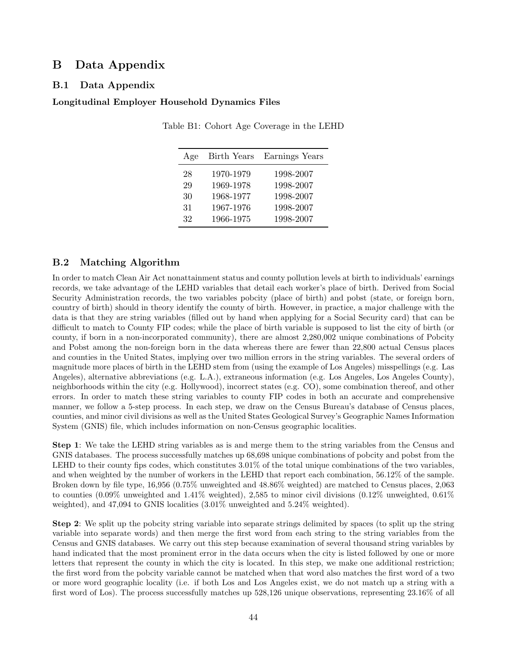### B Data Appendix

### <span id="page-43-0"></span>B.1 Data Appendix

#### Longitudinal Employer Household Dynamics Files

| Age | Birth Years | Earnings Years |
|-----|-------------|----------------|
| 28  | 1970-1979   | 1998-2007      |
| 29  | 1969-1978   | 1998-2007      |
| 30  | 1968-1977   | 1998-2007      |
| 31  | 1967-1976   | 1998-2007      |
| 32  | 1966-1975   | 1998-2007      |

Table B1: Cohort Age Coverage in the LEHD

### <span id="page-43-1"></span>B.2 Matching Algorithm

In order to match Clean Air Act nonattainment status and county pollution levels at birth to individuals' earnings records, we take advantage of the LEHD variables that detail each worker's place of birth. Derived from Social Security Administration records, the two variables pobcity (place of birth) and pobst (state, or foreign born, country of birth) should in theory identify the county of birth. However, in practice, a major challenge with the data is that they are string variables (filled out by hand when applying for a Social Security card) that can be difficult to match to County FIP codes; while the place of birth variable is supposed to list the city of birth (or county, if born in a non-incorporated community), there are almost 2,280,002 unique combinations of Pobcity and Pobst among the non-foreign born in the data whereas there are fewer than 22,800 actual Census places and counties in the United States, implying over two million errors in the string variables. The several orders of magnitude more places of birth in the LEHD stem from (using the example of Los Angeles) misspellings (e.g. Las Angeles), alternative abbreviations (e.g. L.A.), extraneous information (e.g. Los Angeles, Los Angeles County), neighborhoods within the city (e.g. Hollywood), incorrect states (e.g. CO), some combination thereof, and other errors. In order to match these string variables to county FIP codes in both an accurate and comprehensive manner, we follow a 5-step process. In each step, we draw on the Census Bureau's database of Census places, counties, and minor civil divisions as well as the United States Geological Survey's Geographic Names Information System (GNIS) file, which includes information on non-Census geographic localities.

Step 1: We take the LEHD string variables as is and merge them to the string variables from the Census and GNIS databases. The process successfully matches up 68,698 unique combinations of pobcity and pobst from the LEHD to their county fips codes, which constitutes 3.01% of the total unique combinations of the two variables, and when weighted by the number of workers in the LEHD that report each combination, 56.12% of the sample. Broken down by file type, 16,956 (0.75% unweighted and 48.86% weighted) are matched to Census places, 2,063 to counties (0.09% unweighted and 1.41% weighted), 2,585 to minor civil divisions (0.12% unweighted, 0.61% weighted), and 47,094 to GNIS localities (3.01% unweighted and 5.24% weighted).

Step 2: We split up the pobcity string variable into separate strings delimited by spaces (to split up the string variable into separate words) and then merge the first word from each string to the string variables from the Census and GNIS databases. We carry out this step because examination of several thousand string variables by hand indicated that the most prominent error in the data occurs when the city is listed followed by one or more letters that represent the county in which the city is located. In this step, we make one additional restriction; the first word from the pobcity variable cannot be matched when that word also matches the first word of a two or more word geographic locality (i.e. if both Los and Los Angeles exist, we do not match up a string with a first word of Los). The process successfully matches up 528,126 unique observations, representing 23.16% of all